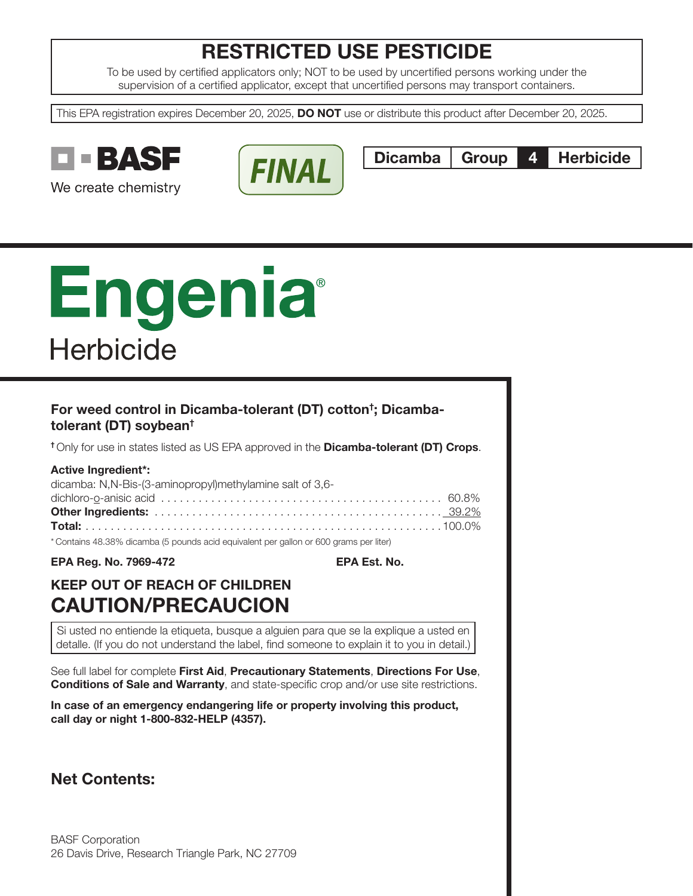# RESTRICTED USE PESTICIDE

To be used by certified applicators only; NOT to be used by uncertified persons working under the supervision of a certified applicator, except that uncertified persons may transport containers.

This EPA registration expires December 20, 2025, **DO NOT** use or distribute this product after December 20, 2025.



We create chemistry



Dicamba Group 4 Herbicide

# Engenia **Herbicide**

## For weed control in Dicamba-tolerant (DT) cotton† ; Dicambatolerant (DT) soybean†

<sup>†</sup> Only for use in states listed as US EPA approved in the **Dicamba-tolerant (DT) Crops**.

| <b>Active Ingredient*:</b>                                                            |  |
|---------------------------------------------------------------------------------------|--|
| dicamba: N,N-Bis-(3-aminopropyl)methylamine salt of 3,6-                              |  |
|                                                                                       |  |
|                                                                                       |  |
|                                                                                       |  |
| *Contains 48.38% dicamba (5 pounds acid equivalent per gallon or 600 grams per liter) |  |

EPA Reg. No. 7969-472 EPA Est. No.

# KEEP OUT OF REACH OF CHILDREN CAUTION/PRECAUCION

Si usted no entiende la etiqueta, busque a alguien para que se la explique a usted en detalle. (If you do not understand the label, find someone to explain it to you in detail.)

See full label for complete First Aid, Precautionary Statements, Directions For Use, **Conditions of Sale and Warranty**, and state-specific crop and/or use site restrictions.

In case of an emergency endangering life or property involving this product, call day or night 1-800-832-HELP (4357).

Net Contents: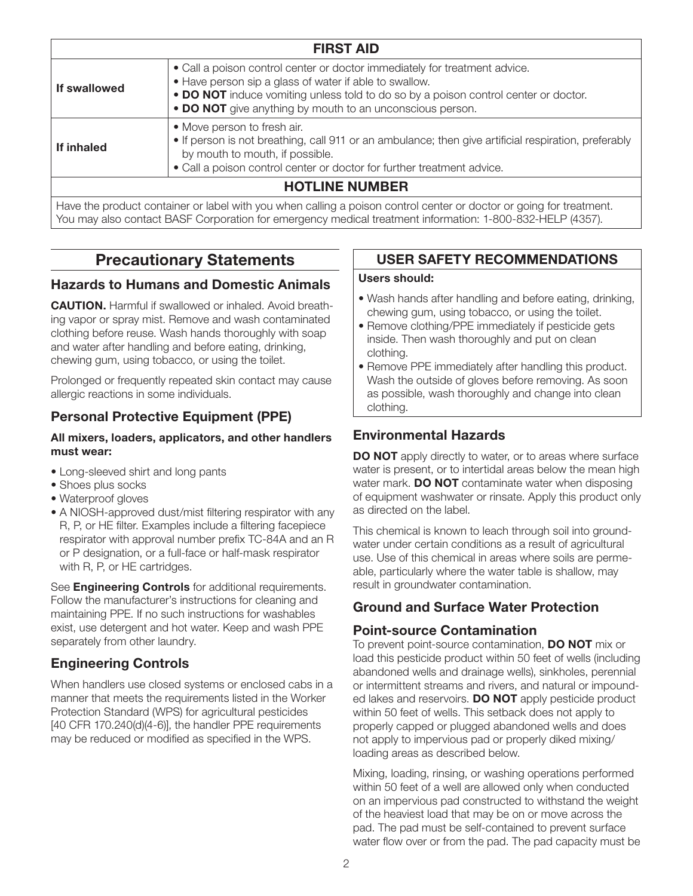| <b>FIRST AID</b> |                                                                                                                                                                                                                                                                                          |  |
|------------------|------------------------------------------------------------------------------------------------------------------------------------------------------------------------------------------------------------------------------------------------------------------------------------------|--|
| If swallowed     | • Call a poison control center or doctor immediately for treatment advice.<br>• Have person sip a glass of water if able to swallow.<br>• DO NOT induce vomiting unless told to do so by a poison control center or doctor.<br>• DO NOT give anything by mouth to an unconscious person. |  |
| If inhaled       | • Move person to fresh air.<br>• If person is not breathing, call 911 or an ambulance; then give artificial respiration, preferably<br>by mouth to mouth, if possible.<br>• Call a poison control center or doctor for further treatment advice.                                         |  |
|                  | <b>HOTLINE NUMBER</b>                                                                                                                                                                                                                                                                    |  |
|                  | Have the product container or label with you when calling a poison control center or doctor or going for treatment.<br>You may also contact BASF Corporation for emergency medical treatment information: 1-800-832-HELP (4357).                                                         |  |

# Precautionary Statements

## Hazards to Humans and Domestic Animals

CAUTION. Harmful if swallowed or inhaled. Avoid breathing vapor or spray mist. Remove and wash contaminated clothing before reuse. Wash hands thoroughly with soap and water after handling and before eating, drinking, chewing gum, using tobacco, or using the toilet.

Prolonged or frequently repeated skin contact may cause allergic reactions in some individuals.

## Personal Protective Equipment (PPE)

#### All mixers, loaders, applicators, and other handlers must wear:

- Long-sleeved shirt and long pants
- Shoes plus socks
- Waterproof gloves
- A NIOSH-approved dust/mist filtering respirator with any R, P, or HE filter. Examples include a filtering facepiece respirator with approval number prefix TC-84A and an R or P designation, or a full-face or half-mask respirator with R, P, or HE cartridges.

See **Engineering Controls** for additional requirements. Follow the manufacturer's instructions for cleaning and maintaining PPE. If no such instructions for washables exist, use detergent and hot water. Keep and wash PPE separately from other laundry.

## Engineering Controls

When handlers use closed systems or enclosed cabs in a manner that meets the requirements listed in the Worker Protection Standard (WPS) for agricultural pesticides [40 CFR 170.240(d)(4-6)], the handler PPE requirements may be reduced or modified as specified in the WPS.

## USER SAFETY RECOMMENDATIONS

#### Users should:

- Wash hands after handling and before eating, drinking, chewing gum, using tobacco, or using the toilet.
- Remove clothing/PPE immediately if pesticide gets inside. Then wash thoroughly and put on clean clothing.
- Remove PPE immediately after handling this product. Wash the outside of gloves before removing. As soon as possible, wash thoroughly and change into clean clothing.

## Environmental Hazards

DO NOT apply directly to water, or to areas where surface water is present, or to intertidal areas below the mean high water mark. **DO NOT** contaminate water when disposing of equipment washwater or rinsate. Apply this product only as directed on the label.

This chemical is known to leach through soil into groundwater under certain conditions as a result of agricultural use. Use of this chemical in areas where soils are permeable, particularly where the water table is shallow, may result in groundwater contamination.

## Ground and Surface Water Protection

## Point-source Contamination

To prevent point-source contamination, DO NOT mix or load this pesticide product within 50 feet of wells (including abandoned wells and drainage wells), sinkholes, perennial or intermittent streams and rivers, and natural or impounded lakes and reservoirs. **DO NOT** apply pesticide product within 50 feet of wells. This setback does not apply to properly capped or plugged abandoned wells and does not apply to impervious pad or properly diked mixing/ loading areas as described below.

Mixing, loading, rinsing, or washing operations performed within 50 feet of a well are allowed only when conducted on an impervious pad constructed to withstand the weight of the heaviest load that may be on or move across the pad. The pad must be self-contained to prevent surface water flow over or from the pad. The pad capacity must be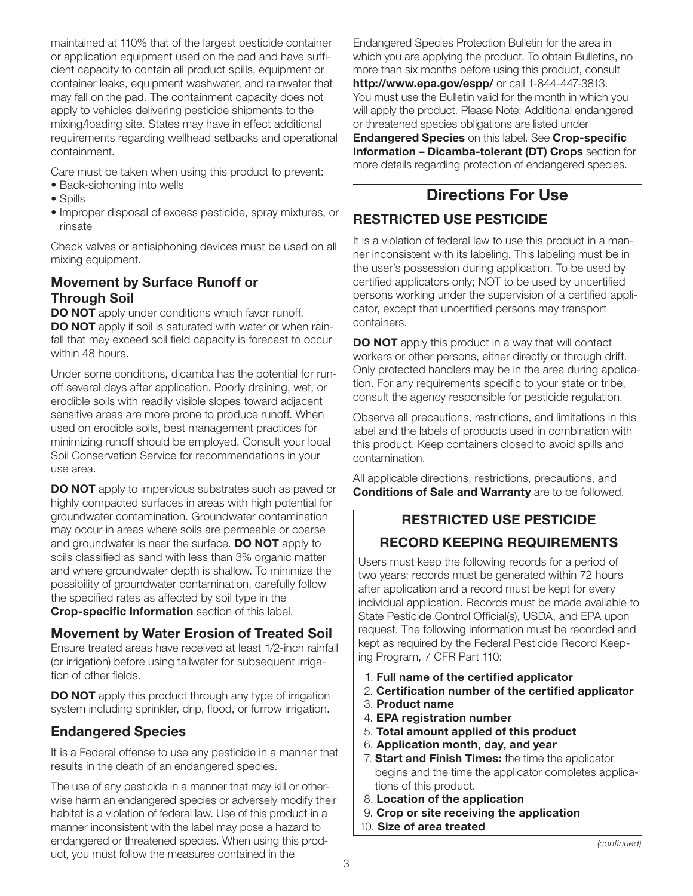maintained at 110% that of the largest pesticide container or application equipment used on the pad and have sufficient capacity to contain all product spills, equipment or container leaks, equipment washwater, and rainwater that may fall on the pad. The containment capacity does not apply to vehicles delivering pesticide shipments to the mixing/loading site. States may have in effect additional requirements regarding wellhead setbacks and operational containment.

Care must be taken when using this product to prevent:

- Back-siphoning into wells
- Spills
- Improper disposal of excess pesticide, spray mixtures, or rinsate

Check valves or antisiphoning devices must be used on all mixing equipment.

## Movement by Surface Runoff or Through Soil

**DO NOT** apply under conditions which favor runoff. DO NOT apply if soil is saturated with water or when rainfall that may exceed soil field capacity is forecast to occur within 48 hours.

Under some conditions, dicamba has the potential for runoff several days after application. Poorly draining, wet, or erodible soils with readily visible slopes toward adjacent sensitive areas are more prone to produce runoff. When used on erodible soils, best management practices for minimizing runoff should be employed. Consult your local Soil Conservation Service for recommendations in your use area.

**DO NOT** apply to impervious substrates such as paved or highly compacted surfaces in areas with high potential for groundwater contamination. Groundwater contamination may occur in areas where soils are permeable or coarse and groundwater is near the surface. **DO NOT** apply to soils classified as sand with less than 3% organic matter and where groundwater depth is shallow. To minimize the possibility of groundwater contamination, carefully follow the specified rates as affected by soil type in the Crop-specific Information section of this label.

## Movement by Water Erosion of Treated Soil

Ensure treated areas have received at least 1/2-inch rainfall (or irrigation) before using tailwater for subsequent irrigation of other fields.

DO NOT apply this product through any type of irrigation system including sprinkler, drip, flood, or furrow irrigation.

## Endangered Species

It is a Federal offense to use any pesticide in a manner that results in the death of an endangered species.

The use of any pesticide in a manner that may kill or otherwise harm an endangered species or adversely modify their habitat is a violation of federal law. Use of this product in a manner inconsistent with the label may pose a hazard to endangered or threatened species. When using this product, you must follow the measures contained in the

Endangered Species Protection Bulletin for the area in which you are applying the product. To obtain Bulletins, no more than six months before using this product, consult http://www.epa.gov/espp/ or call 1-844-447-3813. You must use the Bulletin valid for the month in which you will apply the product. Please Note: Additional endangered or threatened species obligations are listed under Endangered Species on this label. See Crop-specific Information – Dicamba-tolerant (DT) Crops section for more details regarding protection of endangered species.

# Directions For Use

# RESTRICTED USE PESTICIDE

It is a violation of federal law to use this product in a manner inconsistent with its labeling. This labeling must be in the user's possession during application. To be used by certified applicators only; NOT to be used by uncertified persons working under the supervision of a certified applicator, except that uncertified persons may transport containers.

**DO NOT** apply this product in a way that will contact workers or other persons, either directly or through drift. Only protected handlers may be in the area during application. For any requirements specific to your state or tribe, consult the agency responsible for pesticide regulation.

Observe all precautions, restrictions, and limitations in this label and the labels of products used in combination with this product. Keep containers closed to avoid spills and contamination.

All applicable directions, restrictions, precautions, and Conditions of Sale and Warranty are to be followed.

# RESTRICTED USE PESTICIDE RECORD KEEPING REQUIREMENTS

Users must keep the following records for a period of two years; records must be generated within 72 hours after application and a record must be kept for every individual application. Records must be made available to State Pesticide Control Official(s), USDA, and EPA upon request. The following information must be recorded and kept as required by the Federal Pesticide Record Keeping Program, 7 CFR Part 110:

- 1. Full name of the certified applicator
- 2. Certification number of the certified applicator
- 3. Product name
- 4. EPA registration number
- 5. Total amount applied of this product
- 6. Application month, day, and year
- 7. Start and Finish Times: the time the applicator begins and the time the applicator completes applications of this product.
- 8. Location of the application
- 9. Crop or site receiving the application
- 10. Size of area treated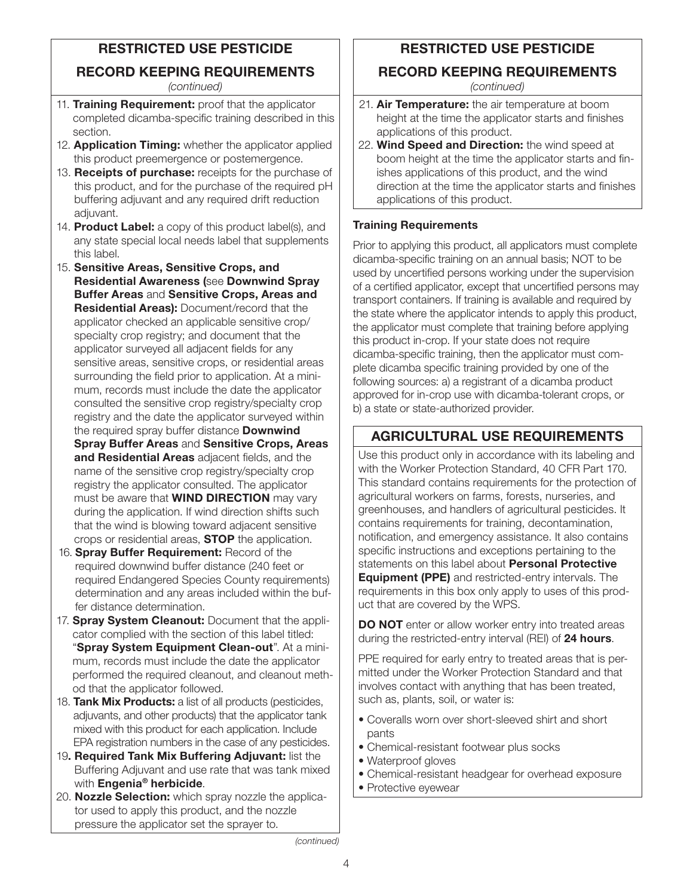# RESTRICTED USE PESTICIDE

## RECORD KEEPING REQUIREMENTS

*(continued)*

- 11. Training Requirement: proof that the applicator completed dicamba-specific training described in this section.
- 12. Application Timing: whether the applicator applied this product preemergence or postemergence.
- 13. Receipts of purchase: receipts for the purchase of this product, and for the purchase of the required pH buffering adjuvant and any required drift reduction adiuvant.
- 14. **Product Label:** a copy of this product label(s), and any state special local needs label that supplements this label.
- 15. Sensitive Areas, Sensitive Crops, and Residential Awareness (see Downwind Spray Buffer Areas and Sensitive Crops, Areas and Residential Areas): Document/record that the applicator checked an applicable sensitive crop/ specialty crop registry; and document that the applicator surveyed all adjacent fields for any sensitive areas, sensitive crops, or residential areas surrounding the field prior to application. At a minimum, records must include the date the applicator consulted the sensitive crop registry/specialty crop registry and the date the applicator surveyed within the required spray buffer distance **Downwind** 
	- Spray Buffer Areas and Sensitive Crops, Areas and Residential Areas adjacent fields, and the name of the sensitive crop registry/specialty crop registry the applicator consulted. The applicator must be aware that **WIND DIRECTION** may vary during the application. If wind direction shifts such that the wind is blowing toward adjacent sensitive crops or residential areas, **STOP** the application.
- 16. Spray Buffer Requirement: Record of the required downwind buffer distance (240 feet or required Endangered Species County requirements) determination and any areas included within the buffer distance determination.
- 17. Spray System Cleanout: Document that the applicator complied with the section of this label titled: "Spray System Equipment Clean-out". At a minimum, records must include the date the applicator performed the required cleanout, and cleanout method that the applicator followed.
- 18. Tank Mix Products: a list of all products (pesticides, adjuvants, and other products) that the applicator tank mixed with this product for each application. Include EPA registration numbers in the case of any pesticides.
- 19. Required Tank Mix Buffering Adjuvant: list the Buffering Adjuvant and use rate that was tank mixed with **Engenia<sup>®</sup> herbicide.**
- 20. Nozzle Selection: which spray nozzle the applicator used to apply this product, and the nozzle pressure the applicator set the sprayer to.

# RESTRICTED USE PESTICIDE

# RECORD KEEPING REQUIREMENTS

*(continued)*

- 21. Air Temperature: the air temperature at boom height at the time the applicator starts and finishes applications of this product.
- 22. Wind Speed and Direction: the wind speed at boom height at the time the applicator starts and finishes applications of this product, and the wind direction at the time the applicator starts and finishes applications of this product.

## Training Requirements

Prior to applying this product, all applicators must complete dicamba-specific training on an annual basis; NOT to be used by uncertified persons working under the supervision of a certified applicator, except that uncertified persons may transport containers. If training is available and required by the state where the applicator intends to apply this product, the applicator must complete that training before applying this product in-crop. If your state does not require dicamba-specific training, then the applicator must complete dicamba specific training provided by one of the following sources: a) a registrant of a dicamba product approved for in-crop use with dicamba-tolerant crops, or b) a state or state-authorized provider.

## AGRICULTURAL USE REQUIREMENTS

Use this product only in accordance with its labeling and with the Worker Protection Standard, 40 CFR Part 170. This standard contains requirements for the protection of agricultural workers on farms, forests, nurseries, and greenhouses, and handlers of agricultural pesticides. It contains requirements for training, decontamination, notification, and emergency assistance. It also contains specific instructions and exceptions pertaining to the statements on this label about Personal Protective Equipment (PPE) and restricted-entry intervals. The requirements in this box only apply to uses of this product that are covered by the WPS.

DO NOT enter or allow worker entry into treated areas during the restricted-entry interval (REI) of 24 hours.

PPE required for early entry to treated areas that is permitted under the Worker Protection Standard and that involves contact with anything that has been treated, such as, plants, soil, or water is:

- Coveralls worn over short-sleeved shirt and short pants
- Chemical-resistant footwear plus socks
- Waterproof gloves
- Chemical-resistant headgear for overhead exposure
- Protective eyewear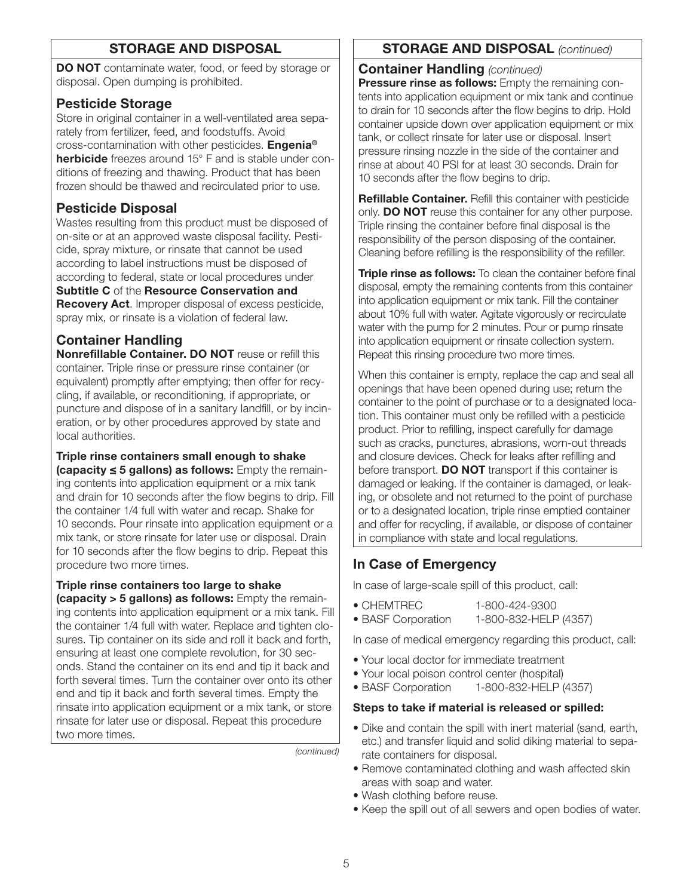## STORAGE AND DISPOSAL

DO NOT contaminate water, food, or feed by storage or disposal. Open dumping is prohibited.

## Pesticide Storage

Store in original container in a well-ventilated area separately from fertilizer, feed, and foodstuffs. Avoid cross-contamination with other pesticides. Engenia® herbicide freezes around 15° F and is stable under conditions of freezing and thawing. Product that has been frozen should be thawed and recirculated prior to use.

## Pesticide Disposal

Wastes resulting from this product must be disposed of on-site or at an approved waste disposal facility. Pesticide, spray mixture, or rinsate that cannot be used according to label instructions must be disposed of according to federal, state or local procedures under Subtitle C of the Resource Conservation and Recovery Act. Improper disposal of excess pesticide, spray mix, or rinsate is a violation of federal law.

# Container Handling

Nonrefillable Container. DO NOT reuse or refill this container. Triple rinse or pressure rinse container (or equivalent) promptly after emptying; then offer for recycling, if available, or reconditioning, if appropriate, or puncture and dispose of in a sanitary landfill, or by incineration, or by other procedures approved by state and local authorities.

Triple rinse containers small enough to shake (capacity ≤ 5 gallons) as follows: Empty the remaining contents into application equipment or a mix tank and drain for 10 seconds after the flow begins to drip. Fill the container 1/4 full with water and recap. Shake for 10 seconds. Pour rinsate into application equipment or a mix tank, or store rinsate for later use or disposal. Drain for 10 seconds after the flow begins to drip. Repeat this procedure two more times.

Triple rinse containers too large to shake (capacity > 5 gallons) as follows: Empty the remaining contents into application equipment or a mix tank. Fill the container 1/4 full with water. Replace and tighten closures. Tip container on its side and roll it back and forth, ensuring at least one complete revolution, for 30 seconds. Stand the container on its end and tip it back and forth several times. Turn the container over onto its other end and tip it back and forth several times. Empty the rinsate into application equipment or a mix tank, or store rinsate for later use or disposal. Repeat this procedure two more times.

*(continued)*

## STORAGE AND DISPOSAL *(continued)*

Container Handling *(continued)*

**Pressure rinse as follows:** Empty the remaining contents into application equipment or mix tank and continue to drain for 10 seconds after the flow begins to drip. Hold container upside down over application equipment or mix tank, or collect rinsate for later use or disposal. Insert pressure rinsing nozzle in the side of the container and rinse at about 40 PSI for at least 30 seconds. Drain for 10 seconds after the flow begins to drip.

Refillable Container. Refill this container with pesticide only. **DO NOT** reuse this container for any other purpose. Triple rinsing the container before final disposal is the responsibility of the person disposing of the container. Cleaning before refilling is the responsibility of the refiller.

Triple rinse as follows: To clean the container before final disposal, empty the remaining contents from this container into application equipment or mix tank. Fill the container about 10% full with water. Agitate vigorously or recirculate water with the pump for 2 minutes. Pour or pump rinsate into application equipment or rinsate collection system. Repeat this rinsing procedure two more times.

When this container is empty, replace the cap and seal all openings that have been opened during use; return the container to the point of purchase or to a designated location. This container must only be refilled with a pesticide product. Prior to refilling, inspect carefully for damage such as cracks, punctures, abrasions, worn-out threads and closure devices. Check for leaks after refilling and before transport. **DO NOT** transport if this container is damaged or leaking. If the container is damaged, or leaking, or obsolete and not returned to the point of purchase or to a designated location, triple rinse emptied container and offer for recycling, if available, or dispose of container in compliance with state and local regulations.

## In Case of Emergency

In case of large-scale spill of this product, call:

- CHEMTREC 1-800-424-9300
- BASF Corporation 1-800-832-HELP (4357)

In case of medical emergency regarding this product, call:

- Your local doctor for immediate treatment
- Your local poison control center (hospital)
- BASF Corporation 1-800-832-HELP (4357)

#### Steps to take if material is released or spilled:

- Dike and contain the spill with inert material (sand, earth, etc.) and transfer liquid and solid diking material to separate containers for disposal.
- Remove contaminated clothing and wash affected skin areas with soap and water.
- Wash clothing before reuse.
- Keep the spill out of all sewers and open bodies of water.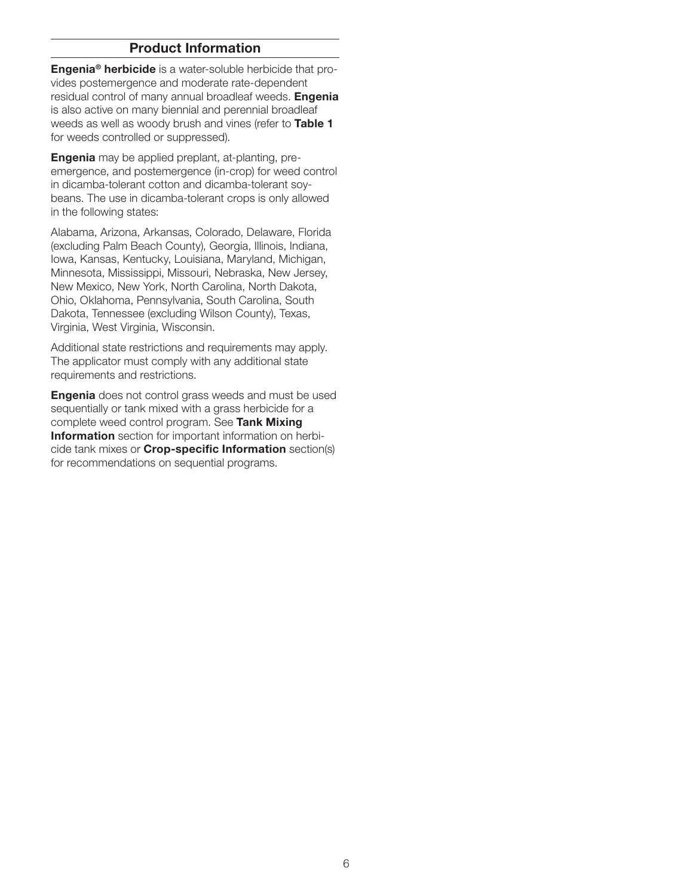#### Product Information

**Engenia<sup>®</sup> herbicide** is a water-soluble herbicide that provides postemergence and moderate rate-dependent residual control of many annual broadleaf weeds. Engenia is also active on many biennial and perennial broadleaf weeds as well as woody brush and vines (refer to Table 1 for weeds controlled or suppressed).

**Engenia** may be applied preplant, at-planting, preemergence, and postemergence (in-crop) for weed control in dicamba-tolerant cotton and dicamba-tolerant soybeans. The use in dicamba-tolerant crops is only allowed in the following states:

Alabama, Arizona, Arkansas, Colorado, Delaware, Florida (excluding Palm Beach County), Georgia, Illinois, Indiana, Iowa, Kansas, Kentucky, Louisiana, Maryland, Michigan, Minnesota, Mississippi, Missouri, Nebraska, New Jersey, New Mexico, New York, North Carolina, North Dakota, Ohio, Oklahoma, Pennsylvania, South Carolina, South Dakota, Tennessee (excluding Wilson County), Texas, Virginia, West Virginia, Wisconsin.

Additional state restrictions and requirements may apply. The applicator must comply with any additional state requirements and restrictions.

**Engenia** does not control grass weeds and must be used sequentially or tank mixed with a grass herbicide for a complete weed control program. See Tank Mixing Information section for important information on herbicide tank mixes or Crop-specific Information section(s) for recommendations on sequential programs.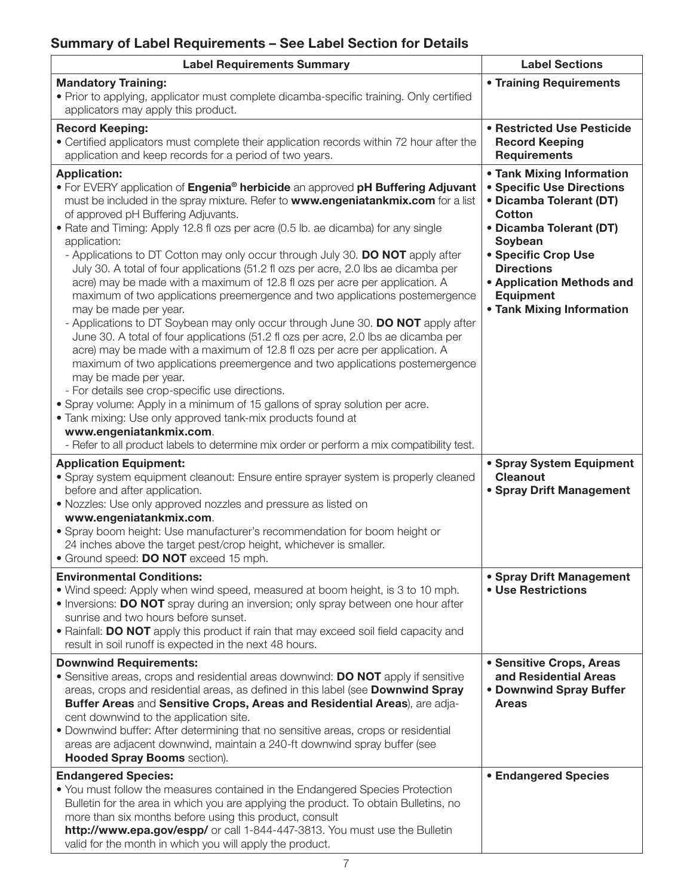# Summary of Label Requirements – See Label Section for Details

| <b>Label Requirements Summary</b>                                                                                                                                                                                                                                                                                                                                                                                                                                                                                                                                                                                                                                                                                                                                                                                                                                                                                                                                                                                                                                                                                                                                                                                                                                                                                                                                                                              | <b>Label Sections</b>                                                                                                                                                                                                                                                     |
|----------------------------------------------------------------------------------------------------------------------------------------------------------------------------------------------------------------------------------------------------------------------------------------------------------------------------------------------------------------------------------------------------------------------------------------------------------------------------------------------------------------------------------------------------------------------------------------------------------------------------------------------------------------------------------------------------------------------------------------------------------------------------------------------------------------------------------------------------------------------------------------------------------------------------------------------------------------------------------------------------------------------------------------------------------------------------------------------------------------------------------------------------------------------------------------------------------------------------------------------------------------------------------------------------------------------------------------------------------------------------------------------------------------|---------------------------------------------------------------------------------------------------------------------------------------------------------------------------------------------------------------------------------------------------------------------------|
| <b>Mandatory Training:</b><br>• Prior to applying, applicator must complete dicamba-specific training. Only certified<br>applicators may apply this product.                                                                                                                                                                                                                                                                                                                                                                                                                                                                                                                                                                                                                                                                                                                                                                                                                                                                                                                                                                                                                                                                                                                                                                                                                                                   | • Training Requirements                                                                                                                                                                                                                                                   |
| <b>Record Keeping:</b><br>• Certified applicators must complete their application records within 72 hour after the<br>application and keep records for a period of two years.                                                                                                                                                                                                                                                                                                                                                                                                                                                                                                                                                                                                                                                                                                                                                                                                                                                                                                                                                                                                                                                                                                                                                                                                                                  | • Restricted Use Pesticide<br><b>Record Keeping</b><br><b>Requirements</b>                                                                                                                                                                                                |
| <b>Application:</b><br>• For EVERY application of Engenia <sup>®</sup> herbicide an approved pH Buffering Adjuvant<br>must be included in the spray mixture. Refer to www.engeniatankmix.com for a list<br>of approved pH Buffering Adjuvants.<br>• Rate and Timing: Apply 12.8 fl ozs per acre (0.5 lb. ae dicamba) for any single<br>application:<br>- Applications to DT Cotton may only occur through July 30. DO NOT apply after<br>July 30. A total of four applications (51.2 fl ozs per acre, 2.0 lbs ae dicamba per<br>acre) may be made with a maximum of 12.8 fl ozs per acre per application. A<br>maximum of two applications preemergence and two applications postemergence<br>may be made per year.<br>- Applications to DT Soybean may only occur through June 30. DO NOT apply after<br>June 30. A total of four applications (51.2 fl ozs per acre, 2.0 lbs ae dicamba per<br>acre) may be made with a maximum of 12.8 fl ozs per acre per application. A<br>maximum of two applications preemergence and two applications postemergence<br>may be made per year.<br>- For details see crop-specific use directions.<br>• Spray volume: Apply in a minimum of 15 gallons of spray solution per acre.<br>• Tank mixing: Use only approved tank-mix products found at<br>www.engeniatankmix.com.<br>- Refer to all product labels to determine mix order or perform a mix compatibility test. | • Tank Mixing Information<br><b>• Specific Use Directions</b><br>• Dicamba Tolerant (DT)<br><b>Cotton</b><br>• Dicamba Tolerant (DT)<br>Soybean<br>• Specific Crop Use<br><b>Directions</b><br>• Application Methods and<br><b>Equipment</b><br>• Tank Mixing Information |
| <b>Application Equipment:</b><br>• Spray system equipment cleanout: Ensure entire sprayer system is properly cleaned<br>before and after application.<br>. Nozzles: Use only approved nozzles and pressure as listed on<br>www.engeniatankmix.com.<br>• Spray boom height: Use manufacturer's recommendation for boom height or<br>24 inches above the target pest/crop height, whichever is smaller.<br>• Ground speed: DO NOT exceed 15 mph.                                                                                                                                                                                                                                                                                                                                                                                                                                                                                                                                                                                                                                                                                                                                                                                                                                                                                                                                                                 | • Spray System Equipment<br><b>Cleanout</b><br>• Spray Drift Management                                                                                                                                                                                                   |
| <b>Environmental Conditions:</b><br>• Wind speed: Apply when wind speed, measured at boom height, is 3 to 10 mph.<br>. Inversions: DO NOT spray during an inversion; only spray between one hour after<br>sunrise and two hours before sunset.<br>. Rainfall: DO NOT apply this product if rain that may exceed soil field capacity and<br>result in soil runoff is expected in the next 48 hours.                                                                                                                                                                                                                                                                                                                                                                                                                                                                                                                                                                                                                                                                                                                                                                                                                                                                                                                                                                                                             | • Spray Drift Management<br>• Use Restrictions                                                                                                                                                                                                                            |
| <b>Downwind Requirements:</b><br>• Sensitive areas, crops and residential areas downwind: DO NOT apply if sensitive<br>areas, crops and residential areas, as defined in this label (see Downwind Spray<br>Buffer Areas and Sensitive Crops, Areas and Residential Areas), are adja-<br>cent downwind to the application site.<br>. Downwind buffer: After determining that no sensitive areas, crops or residential<br>areas are adjacent downwind, maintain a 240-ft downwind spray buffer (see<br><b>Hooded Spray Booms section).</b><br><b>Endangered Species:</b>                                                                                                                                                                                                                                                                                                                                                                                                                                                                                                                                                                                                                                                                                                                                                                                                                                         | • Sensitive Crops, Areas<br>and Residential Areas<br>• Downwind Spray Buffer<br><b>Areas</b><br><b>• Endangered Species</b>                                                                                                                                               |
| • You must follow the measures contained in the Endangered Species Protection<br>Bulletin for the area in which you are applying the product. To obtain Bulletins, no<br>more than six months before using this product, consult<br>http://www.epa.gov/espp/ or call 1-844-447-3813. You must use the Bulletin<br>valid for the month in which you will apply the product.                                                                                                                                                                                                                                                                                                                                                                                                                                                                                                                                                                                                                                                                                                                                                                                                                                                                                                                                                                                                                                     |                                                                                                                                                                                                                                                                           |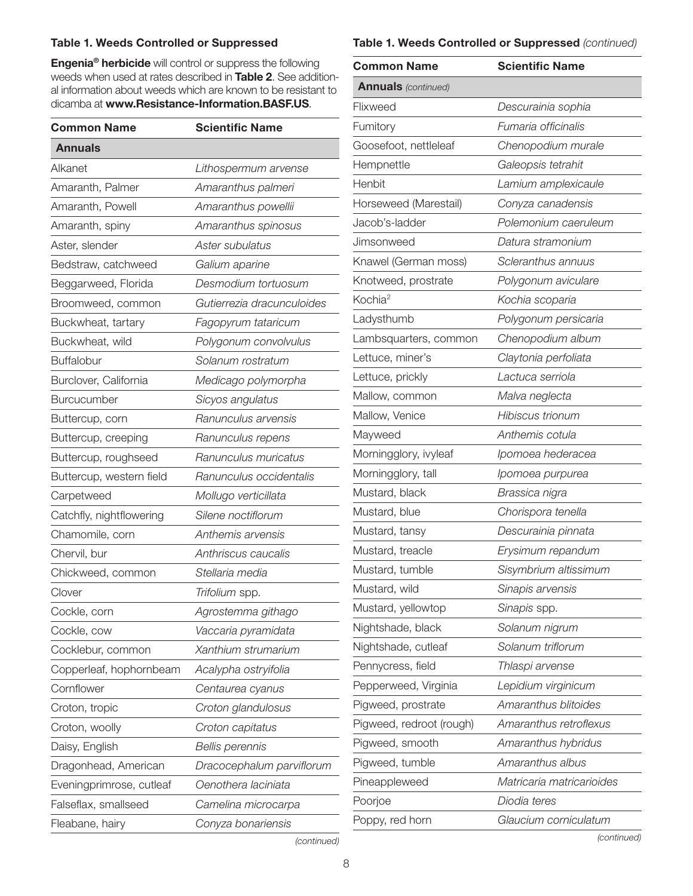#### Table 1. Weeds Controlled or Suppressed

Engenia® herbicide will control or suppress the following weeds when used at rates described in Table 2. See additional information about weeds which are known to be resistant to dicamba at www.Resistance-Information.BASF.US.

| <b>Common Name</b>       | <b>Scientific Name</b>     |
|--------------------------|----------------------------|
| <b>Annuals</b>           |                            |
| Alkanet                  | Lithospermum arvense       |
| Amaranth, Palmer         | Amaranthus palmeri         |
| Amaranth, Powell         | Amaranthus powellii        |
| Amaranth, spiny          | Amaranthus spinosus        |
| Aster, slender           | Aster subulatus            |
| Bedstraw, catchweed      | Galium aparine             |
| Beggarweed, Florida      | Desmodium tortuosum        |
| Broomweed, common        | Gutierrezia dracunculoides |
| Buckwheat, tartary       | Fagopyrum tataricum        |
| Buckwheat, wild          | Polygonum convolvulus      |
| <b>Buffalobur</b>        | Solanum rostratum          |
| Burclover, California    | Medicago polymorpha        |
| <b>Burcucumber</b>       | Sicyos angulatus           |
| Buttercup, corn          | Ranunculus arvensis        |
| Buttercup, creeping      | Ranunculus repens          |
| Buttercup, roughseed     | Ranunculus muricatus       |
| Buttercup, western field | Ranunculus occidentalis    |
| Carpetweed               | Mollugo verticillata       |
| Catchfly, nightflowering | Silene noctiflorum         |
| Chamomile, corn          | Anthemis arvensis          |
| Chervil, bur             | Anthriscus caucalis        |
| Chickweed, common        | Stellaria media            |
| Clover                   | Trifolium spp.             |
| Cockle, corn             | Agrostemma githago         |
| Cockle, cow              | Vaccaria pyramidata        |
| Cocklebur, common        | Xanthium strumarium        |
| Copperleaf, hophornbeam  | Acalypha ostryifolia       |
| Cornflower               | Centaurea cyanus           |
| Croton, tropic           | Croton glandulosus         |
| Croton, woolly           | Croton capitatus           |
| Daisy, English           | <b>Bellis perennis</b>     |
| Dragonhead, American     | Dracocephalum parviflorum  |
| Eveningprimrose, cutleaf | Oenothera laciniata        |
| Falseflax, smallseed     | Camelina microcarpa        |
| Fleabane, hairy          | Conyza bonariensis         |

#### Table 1. Weeds Controlled or Suppressed *(continued)*

| <b>Common Name</b>         | <b>Scientific Name</b>    |
|----------------------------|---------------------------|
| <b>Annuals</b> (continued) |                           |
| Flixweed                   | Descurainia sophia        |
| Fumitory                   | Fumaria officinalis       |
| Goosefoot, nettleleaf      | Chenopodium murale        |
| Hempnettle                 | Galeopsis tetrahit        |
| Henbit                     | Lamium amplexicaule       |
| Horseweed (Marestail)      | Conyza canadensis         |
| Jacob's-ladder             | Polemonium caeruleum      |
| Jimsonweed                 | Datura stramonium         |
| Knawel (German moss)       | Scleranthus annuus        |
| Knotweed, prostrate        | Polygonum aviculare       |
| Kochia <sup>2</sup>        | Kochia scoparia           |
| Ladysthumb                 | Polygonum persicaria      |
| Lambsquarters, common      | Chenopodium album         |
| Lettuce, miner's           | Claytonia perfoliata      |
| Lettuce, prickly           | Lactuca serriola          |
| Mallow, common             | Malva neglecta            |
| Mallow, Venice             | <b>Hibiscus trionum</b>   |
| Mayweed                    | Anthemis cotula           |
| Morningglory, ivyleaf      | Ipomoea hederacea         |
| Morningglory, tall         | Ipomoea purpurea          |
| Mustard, black             | Brassica nigra            |
| Mustard, blue              | Chorispora tenella        |
| Mustard, tansy             | Descurainia pinnata       |
| Mustard, treacle           | Erysimum repandum         |
| Mustard, tumble            | Sisymbrium altissimum     |
| Mustard, wild              | Sinapis arvensis          |
| Mustard, yellowtop         | Sinapis spp.              |
| Nightshade, black          | Solanum nigrum            |
| Nightshade, cutleaf        | Solanum triflorum         |
| Pennycress, field          | Thlaspi arvense           |
| Pepperweed, Virginia       | Lepidium virginicum       |
| Pigweed, prostrate         | Amaranthus blitoides      |
| Pigweed, redroot (rough)   | Amaranthus retroflexus    |
| Pigweed, smooth            | Amaranthus hybridus       |
| Pigweed, tumble            | Amaranthus albus          |
| Pineappleweed              | Matricaria matricarioides |
| Poorjoe                    | Diodia teres              |
| Poppy, red horn            | Glaucium corniculatum     |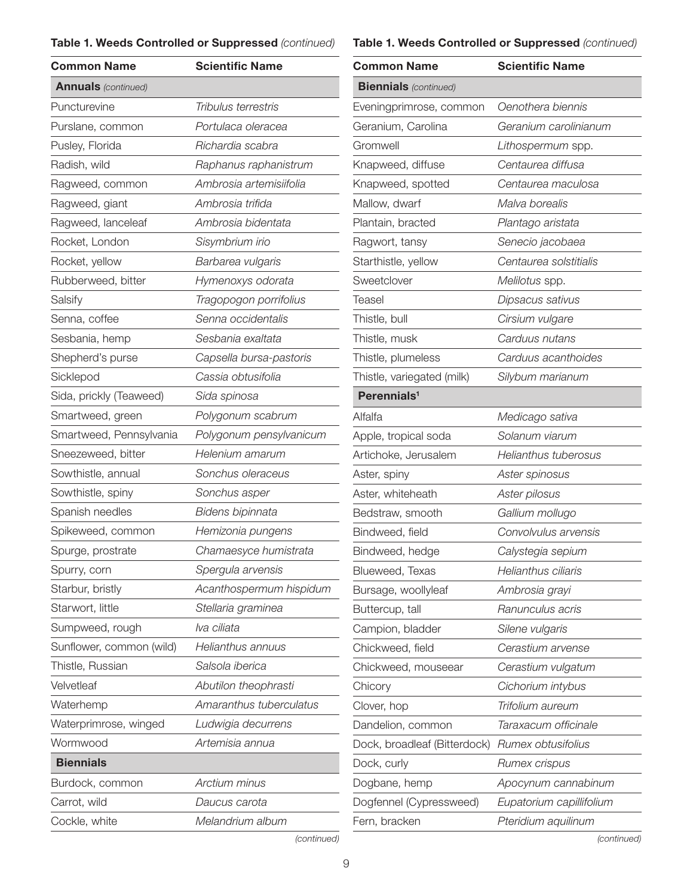#### Table 1. Weeds Controlled or Suppressed *(continued)*

# Table 1. Weeds Controlled or Suppressed *(continued)*

| <b>Common Name</b>         | <b>Scientific Name</b>     |
|----------------------------|----------------------------|
| <b>Annuals</b> (continued) |                            |
| Puncturevine               | <b>Tribulus terrestris</b> |
| Purslane, common           | Portulaca oleracea         |
| Pusley, Florida            | Richardia scabra           |
| Radish, wild               | Raphanus raphanistrum      |
| Ragweed, common            | Ambrosia artemisiifolia    |
| Ragweed, giant             | Ambrosia trifida           |
| Ragweed, lanceleaf         | Ambrosia bidentata         |
| Rocket, London             | Sisymbrium irio            |
| Rocket, yellow             | Barbarea vulgaris          |
| Rubberweed, bitter         | Hymenoxys odorata          |
| Salsify                    | Tragopogon porrifolius     |
| Senna, coffee              | Senna occidentalis         |
| Sesbania, hemp             | Sesbania exaltata          |
| Shepherd's purse           | Capsella bursa-pastoris    |
| Sicklepod                  | Cassia obtusifolia         |
| Sida, prickly (Teaweed)    | Sida spinosa               |
| Smartweed, green           | Polygonum scabrum          |
| Smartweed, Pennsylvania    | Polygonum pensylvanicum    |
| Sneezeweed, bitter         | Helenium amarum            |
| Sowthistle, annual         | Sonchus oleraceus          |
| Sowthistle, spiny          | Sonchus asper              |
| Spanish needles            | Bidens bipinnata           |
| Spikeweed, common          | Hemizonia pungens          |
| Spurge, prostrate          | Chamaesyce humistrata      |
| Spurry, corn               | Spergula arvensis          |
| Starbur, bristly           | Acanthospermum hispidum    |
| Starwort, little           | Stellaria graminea         |
| Sumpweed, rough            | Iva ciliata                |
| Sunflower, common (wild)   | Helianthus annuus          |
| Thistle, Russian           | Salsola iberica            |
| Velvetleaf                 | Abutilon theophrasti       |
| Waterhemp                  | Amaranthus tuberculatus    |
| Waterprimrose, winged      | Ludwigia decurrens         |
| Wormwood                   | Artemisia annua            |
| <b>Biennials</b>           |                            |
| Burdock, common            | Arctium minus              |
| Carrot, wild               | Daucus carota              |
| Cockle, white              | Melandrium album           |

| <b>Common Name</b>           | <b>Scientific Name</b>   |
|------------------------------|--------------------------|
| <b>Biennials</b> (continued) |                          |
| Eveningprimrose, common      | Oenothera biennis        |
| Geranium, Carolina           | Geranium carolinianum    |
| Gromwell                     | Lithospermum spp.        |
| Knapweed, diffuse            | Centaurea diffusa        |
| Knapweed, spotted            | Centaurea maculosa       |
| Mallow, dwarf                | Malva borealis           |
| Plantain, bracted            | Plantago aristata        |
| Ragwort, tansy               | Senecio jacobaea         |
| Starthistle, yellow          | Centaurea solstitialis   |
| Sweetclover                  | Melilotus spp.           |
| Teasel                       | Dipsacus sativus         |
| Thistle, bull                | Cirsium vulgare          |
| Thistle, musk                | Carduus nutans           |
| Thistle, plumeless           | Carduus acanthoides      |
| Thistle, variegated (milk)   | Silybum marianum         |
| Perennials <sup>1</sup>      |                          |
| Alfalfa                      | Medicago sativa          |
| Apple, tropical soda         | Solanum viarum           |
| Artichoke, Jerusalem         | Helianthus tuberosus     |
| Aster, spiny                 | Aster spinosus           |
| Aster, whiteheath            | Aster pilosus            |
| Bedstraw, smooth             | Gallium mollugo          |
| Bindweed, field              | Convolvulus arvensis     |
| Bindweed, hedge              | Calystegia sepium        |
| Blueweed, Texas              | Helianthus ciliaris      |
| Bursage, woollyleaf          | Ambrosia grayi           |
| Buttercup, tall              | Ranunculus acris         |
| Campion, bladder             | Silene vulgaris          |
| Chickweed, field             | Cerastium arvense        |
| Chickweed, mouseear          | Cerastium vulgatum       |
| Chicory                      | Cichorium intybus        |
| Clover, hop                  | Trifolium aureum         |
| Dandelion, common            | Taraxacum officinale     |
| Dock, broadleaf (Bitterdock) | Rumex obtusifolius       |
| Dock, curly                  | Rumex crispus            |
| Dogbane, hemp                | Apocynum cannabinum      |
| Dogfennel (Cypressweed)      | Eupatorium capillifolium |
| Fern, bracken                | Pteridium aquilinum      |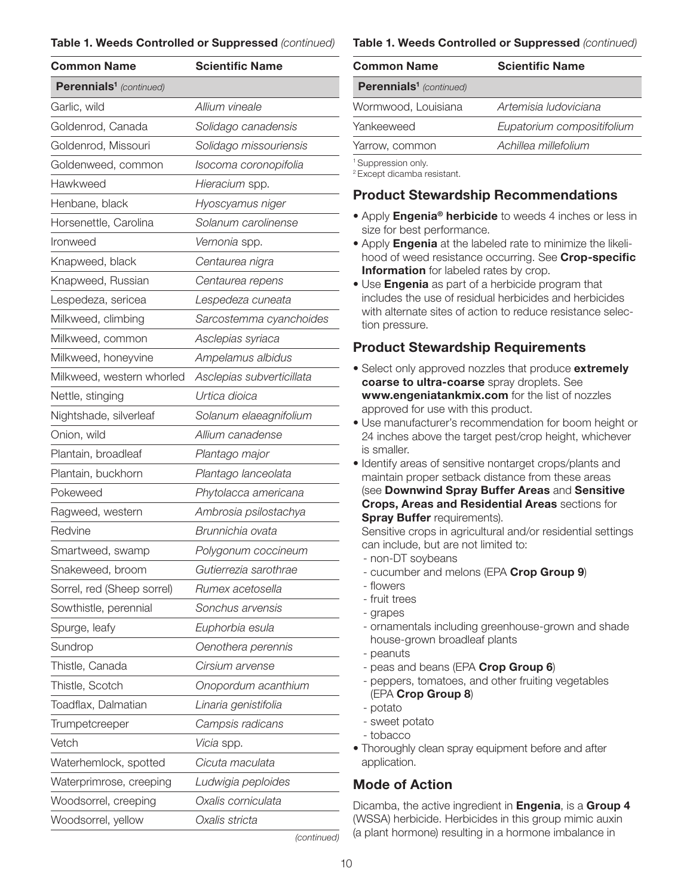#### Table 1. Weeds Controlled or Suppressed *(continued)*

| <b>Common Name</b>                  | <b>Scientific Name</b>    |
|-------------------------------------|---------------------------|
| Perennials <sup>1</sup> (continued) |                           |
| Garlic, wild                        | Allium vineale            |
| Goldenrod, Canada                   | Solidago canadensis       |
| Goldenrod, Missouri                 | Solidago missouriensis    |
| Goldenweed, common                  | Isocoma coronopifolia     |
| Hawkweed                            | Hieracium spp.            |
| Henbane, black                      | Hyoscyamus niger          |
| Horsenettle, Carolina               | Solanum carolinense       |
| Ironweed                            | Vernonia spp.             |
| Knapweed, black                     | Centaurea nigra           |
| Knapweed, Russian                   | Centaurea repens          |
| Lespedeza, sericea                  | Lespedeza cuneata         |
| Milkweed, climbing                  | Sarcostemma cyanchoides   |
| Milkweed, common                    | Asclepias syriaca         |
| Milkweed, honeyvine                 | Ampelamus albidus         |
| Milkweed, western whorled           | Asclepias subverticillata |
| Nettle, stinging                    | Urtica dioica             |
| Nightshade, silverleaf              | Solanum elaeagnifolium    |
| Onion, wild                         | Allium canadense          |
| Plantain, broadleaf                 | Plantago major            |
| Plantain, buckhorn                  | Plantago lanceolata       |
| Pokeweed                            | Phytolacca americana      |
| Ragweed, western                    | Ambrosia psilostachya     |
| Redvine                             | Brunnichia ovata          |
| Smartweed, swamp                    | Polygonum coccineum       |
| Snakeweed, broom                    | Gutierrezia sarothrae     |
| Sorrel, red (Sheep sorrel)          | Rumex acetosella          |
| Sowthistle, perennial               | Sonchus arvensis          |
| Spurge, leafy                       | Euphorbia esula           |
| Sundrop                             | Oenothera perennis        |
| Thistle, Canada                     | Cirsium arvense           |
| Thistle, Scotch                     | Onopordum acanthium       |
| Toadflax, Dalmatian                 | Linaria genistifolia      |
| Trumpetcreeper                      | Campsis radicans          |
| Vetch                               | Vicia spp.                |
| Waterhemlock, spotted               | Cicuta maculata           |
| Waterprimrose, creeping             | Ludwigia peploides        |
| Woodsorrel, creeping                | Oxalis corniculata        |
| Woodsorrel, yellow                  | Oxalis stricta            |

#### Table 1. Weeds Controlled or Suppressed *(continued)*

| <b>Common Name</b>                  | <b>Scientific Name</b>     |  |  |
|-------------------------------------|----------------------------|--|--|
| Perennials <sup>1</sup> (continued) |                            |  |  |
| Wormwood, Louisiana                 | Artemisia Iudoviciana      |  |  |
| Yankeeweed                          | Eupatorium compositifolium |  |  |
| Yarrow, common                      | Achillea millefolium       |  |  |
| <sup>1</sup> Suppression only.      |                            |  |  |

2 Except dicamba resistant.

## Product Stewardship Recommendations

- Apply **Engenia<sup>®</sup> herbicide** to weeds 4 inches or less in size for best performance.
- Apply Engenia at the labeled rate to minimize the likelihood of weed resistance occurring. See Crop-specific Information for labeled rates by crop.
- Use Engenia as part of a herbicide program that includes the use of residual herbicides and herbicides with alternate sites of action to reduce resistance selection pressure.

## Product Stewardship Requirements

- Select only approved nozzles that produce extremely coarse to ultra-coarse spray droplets. See www.engeniatankmix.com for the list of nozzles approved for use with this product.
- Use manufacturer's recommendation for boom height or 24 inches above the target pest/crop height, whichever is smaller.
- Identify areas of sensitive nontarget crops/plants and maintain proper setback distance from these areas (see Downwind Spray Buffer Areas and Sensitive Crops, Areas and Residential Areas sections for **Spray Buffer requirements).**

Sensitive crops in agricultural and/or residential settings can include, but are not limited to:

- non-DT soybeans
- cucumber and melons (EPA Crop Group 9)
- flowers
- fruit trees
- grapes
- ornamentals including greenhouse-grown and shade house-grown broadleaf plants
- peanuts
- peas and beans (EPA Crop Group 6)
- peppers, tomatoes, and other fruiting vegetables (EPA Crop Group 8)
- potato
	- sweet potato
	- tobacco
- Thoroughly clean spray equipment before and after application.

## Mode of Action

Dicamba, the active ingredient in **Engenia**, is a **Group 4** (WSSA) herbicide. Herbicides in this group mimic auxin (a plant hormone) resulting in a hormone imbalance in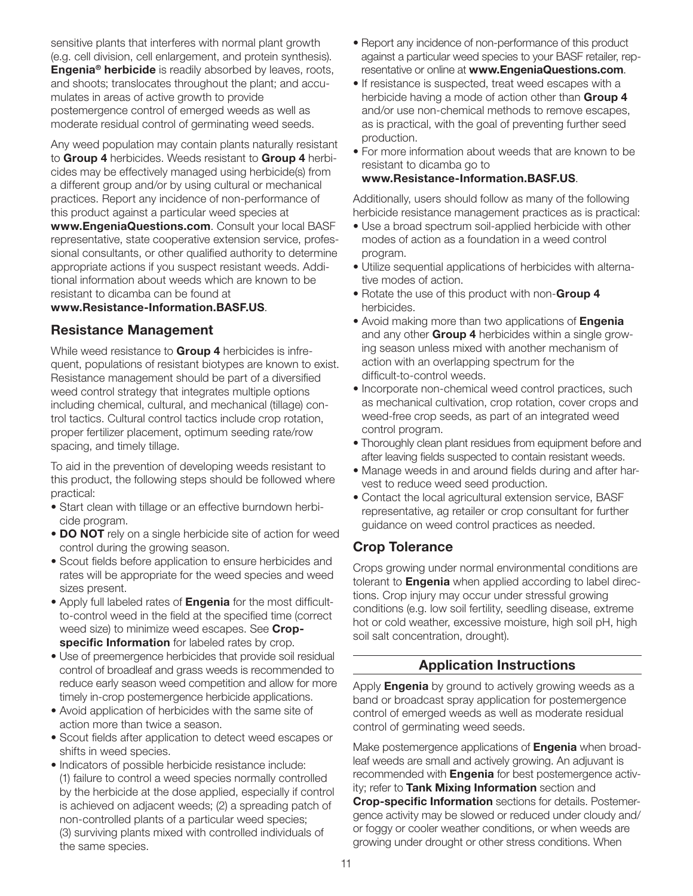sensitive plants that interferes with normal plant growth (e.g. cell division, cell enlargement, and protein synthesis). **Engenia<sup>®</sup> herbicide** is readily absorbed by leaves, roots, and shoots; translocates throughout the plant; and accumulates in areas of active growth to provide postemergence control of emerged weeds as well as moderate residual control of germinating weed seeds.

Any weed population may contain plants naturally resistant to Group 4 herbicides. Weeds resistant to Group 4 herbicides may be effectively managed using herbicide(s) from a different group and/or by using cultural or mechanical practices. Report any incidence of non-performance of this product against a particular weed species at

www.EngeniaQuestions.com. Consult your local BASF representative, state cooperative extension service, professional consultants, or other qualified authority to determine appropriate actions if you suspect resistant weeds. Additional information about weeds which are known to be resistant to dicamba can be found at

#### www.Resistance-Information.BASF.US.

#### Resistance Management

While weed resistance to Group 4 herbicides is infrequent, populations of resistant biotypes are known to exist. Resistance management should be part of a diversified weed control strategy that integrates multiple options including chemical, cultural, and mechanical (tillage) control tactics. Cultural control tactics include crop rotation, proper fertilizer placement, optimum seeding rate/row spacing, and timely tillage.

To aid in the prevention of developing weeds resistant to this product, the following steps should be followed where practical:

- Start clean with tillage or an effective burndown herbicide program.
- **DO NOT** rely on a single herbicide site of action for weed control during the growing season.
- Scout fields before application to ensure herbicides and rates will be appropriate for the weed species and weed sizes present.
- Apply full labeled rates of **Engenia** for the most difficultto-control weed in the field at the specified time (correct weed size) to minimize weed escapes. See Cropspecific Information for labeled rates by crop.
- Use of preemergence herbicides that provide soil residual control of broadleaf and grass weeds is recommended to reduce early season weed competition and allow for more timely in-crop postemergence herbicide applications.
- Avoid application of herbicides with the same site of action more than twice a season.
- Scout fields after application to detect weed escapes or shifts in weed species.
- Indicators of possible herbicide resistance include: (1) failure to control a weed species normally controlled by the herbicide at the dose applied, especially if control is achieved on adjacent weeds; (2) a spreading patch of non-controlled plants of a particular weed species; (3) surviving plants mixed with controlled individuals of the same species.
- Report any incidence of non-performance of this product against a particular weed species to your BASF retailer, representative or online at www.EngeniaQuestions.com.
- If resistance is suspected, treat weed escapes with a herbicide having a mode of action other than Group 4 and/or use non-chemical methods to remove escapes, as is practical, with the goal of preventing further seed production.
- For more information about weeds that are known to be resistant to dicamba go to

#### www.Resistance-Information.BASF.US.

Additionally, users should follow as many of the following herbicide resistance management practices as is practical:

- Use a broad spectrum soil-applied herbicide with other modes of action as a foundation in a weed control program.
- Utilize sequential applications of herbicides with alternative modes of action.
- Rotate the use of this product with non-Group 4 herbicides.
- Avoid making more than two applications of **Engenia** and any other Group 4 herbicides within a single growing season unless mixed with another mechanism of action with an overlapping spectrum for the difficult-to-control weeds.
- Incorporate non-chemical weed control practices, such as mechanical cultivation, crop rotation, cover crops and weed-free crop seeds, as part of an integrated weed control program.
- Thoroughly clean plant residues from equipment before and after leaving fields suspected to contain resistant weeds.
- Manage weeds in and around fields during and after harvest to reduce weed seed production.
- Contact the local agricultural extension service, BASF representative, ag retailer or crop consultant for further guidance on weed control practices as needed.

## Crop Tolerance

Crops growing under normal environmental conditions are tolerant to **Engenia** when applied according to label directions. Crop injury may occur under stressful growing conditions (e.g. low soil fertility, seedling disease, extreme hot or cold weather, excessive moisture, high soil pH, high soil salt concentration, drought).

## Application Instructions

Apply **Engenia** by ground to actively growing weeds as a band or broadcast spray application for postemergence control of emerged weeds as well as moderate residual control of germinating weed seeds.

Make postemergence applications of **Engenia** when broadleaf weeds are small and actively growing. An adjuvant is recommended with **Engenia** for best postemergence activity; refer to Tank Mixing Information section and Crop-specific Information sections for details. Postemergence activity may be slowed or reduced under cloudy and/ or foggy or cooler weather conditions, or when weeds are growing under drought or other stress conditions. When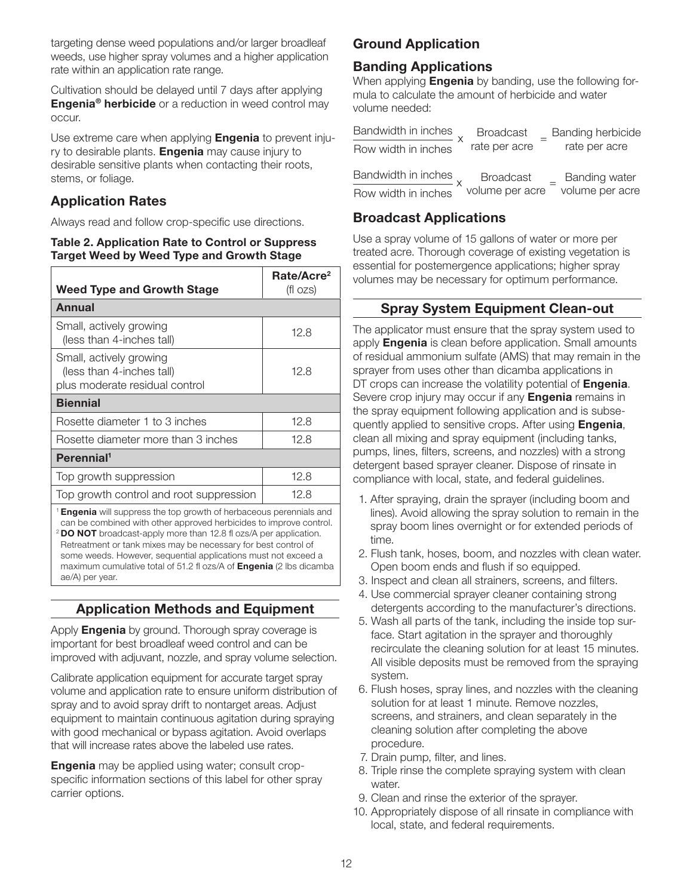targeting dense weed populations and/or larger broadleaf weeds, use higher spray volumes and a higher application rate within an application rate range.

Cultivation should be delayed until 7 days after applying **Engenia<sup>®</sup> herbicide** or a reduction in weed control may occur.

Use extreme care when applying **Engenia** to prevent injury to desirable plants. **Engenia** may cause injury to desirable sensitive plants when contacting their roots, stems, or foliage.

## Application Rates

Always read and follow crop-specific use directions.

#### Table 2. Application Rate to Control or Suppress Target Weed by Weed Type and Growth Stage

| <b>Weed Type and Growth Stage</b>                                                      | Rate/Acre <sup>2</sup><br>(fl ozs) |  |  |
|----------------------------------------------------------------------------------------|------------------------------------|--|--|
| Annual                                                                                 |                                    |  |  |
| Small, actively growing<br>(less than 4-inches tall)                                   | 12.8                               |  |  |
| Small, actively growing<br>(less than 4-inches tall)<br>plus moderate residual control | 12.8                               |  |  |
| <b>Biennial</b>                                                                        |                                    |  |  |
| Rosette diameter 1 to 3 inches                                                         | 12.8                               |  |  |
| Rosette diameter more than 3 inches                                                    | 12.8                               |  |  |
| Perennial <sup>1</sup>                                                                 |                                    |  |  |
| Top growth suppression                                                                 | 12.8                               |  |  |
| Top growth control and root suppression                                                | 12.8                               |  |  |
| <sup>1</sup> Engenia will suppress the top growth of herbaceous perennials and         |                                    |  |  |

can be combined with other approved herbicides to improve control. <sup>2</sup> DO NOT broadcast-apply more than 12.8 fl ozs/A per application. Retreatment or tank mixes may be necessary for best control of some weeds. However, sequential applications must not exceed a maximum cumulative total of 51.2 fl ozs/A of **Engenia** (2 lbs dicamba ae/A) per year.

## Application Methods and Equipment

Apply **Engenia** by ground. Thorough spray coverage is important for best broadleaf weed control and can be improved with adjuvant, nozzle, and spray volume selection.

Calibrate application equipment for accurate target spray volume and application rate to ensure uniform distribution of spray and to avoid spray drift to nontarget areas. Adjust equipment to maintain continuous agitation during spraying with good mechanical or bypass agitation. Avoid overlaps that will increase rates above the labeled use rates.

**Engenia** may be applied using water; consult cropspecific information sections of this label for other spray carrier options.

## Ground Application

## Banding Applications

When applying **Engenia** by banding, use the following formula to calculate the amount of herbicide and water volume needed:

| Bandwidth in inches | <b>Broadcast</b> | Banding herbicide |
|---------------------|------------------|-------------------|
| Row width in inches | rate per acre    | rate per acre     |
|                     |                  |                   |
| Bandwidth in inches | <b>Broadcast</b> | Banding water     |
| Row width in inches | volume per acre  | volume per acre   |

## Broadcast Applications

Use a spray volume of 15 gallons of water or more per treated acre. Thorough coverage of existing vegetation is essential for postemergence applications; higher spray volumes may be necessary for optimum performance.

## Spray System Equipment Clean-out

The applicator must ensure that the spray system used to apply **Engenia** is clean before application. Small amounts of residual ammonium sulfate (AMS) that may remain in the sprayer from uses other than dicamba applications in DT crops can increase the volatility potential of **Engenia**. Severe crop injury may occur if any **Engenia** remains in the spray equipment following application and is subsequently applied to sensitive crops. After using **Engenia**, clean all mixing and spray equipment (including tanks, pumps, lines, filters, screens, and nozzles) with a strong detergent based sprayer cleaner. Dispose of rinsate in compliance with local, state, and federal guidelines.

- 1. After spraying, drain the sprayer (including boom and lines). Avoid allowing the spray solution to remain in the spray boom lines overnight or for extended periods of time.
- 2. Flush tank, hoses, boom, and nozzles with clean water. Open boom ends and flush if so equipped.
- 3. Inspect and clean all strainers, screens, and filters.
- 4. Use commercial sprayer cleaner containing strong detergents according to the manufacturer's directions.
- 5. Wash all parts of the tank, including the inside top surface. Start agitation in the sprayer and thoroughly recirculate the cleaning solution for at least 15 minutes. All visible deposits must be removed from the spraying system.
- 6. Flush hoses, spray lines, and nozzles with the cleaning solution for at least 1 minute. Remove nozzles, screens, and strainers, and clean separately in the cleaning solution after completing the above procedure.
- 7. Drain pump, filter, and lines.
- 8. Triple rinse the complete spraying system with clean water.
- 9. Clean and rinse the exterior of the sprayer.
- 10. Appropriately dispose of all rinsate in compliance with local, state, and federal requirements.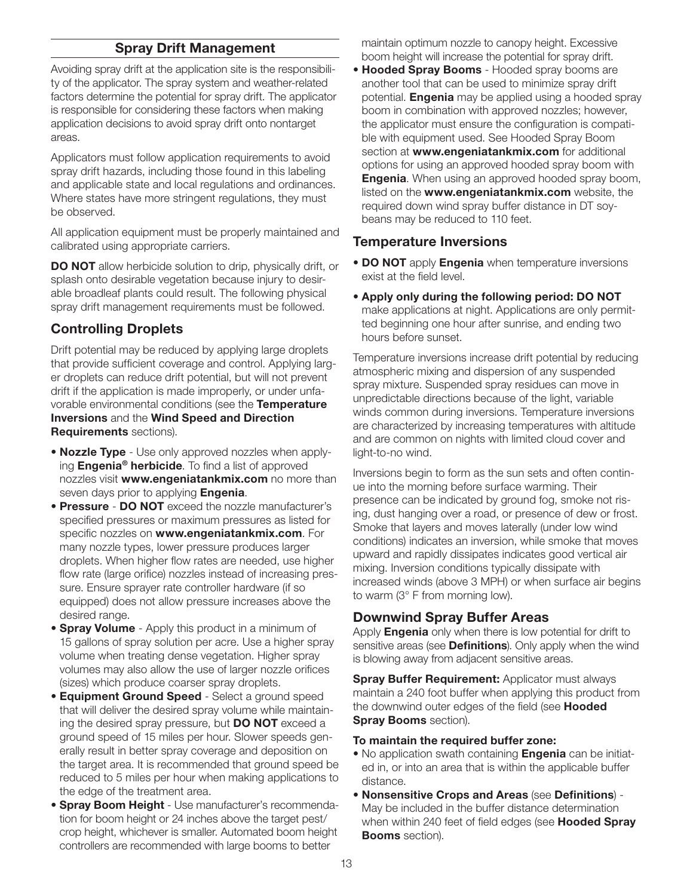## Spray Drift Management

Avoiding spray drift at the application site is the responsibility of the applicator. The spray system and weather-related factors determine the potential for spray drift. The applicator is responsible for considering these factors when making application decisions to avoid spray drift onto nontarget areas.

Applicators must follow application requirements to avoid spray drift hazards, including those found in this labeling and applicable state and local regulations and ordinances. Where states have more stringent regulations, they must be observed.

All application equipment must be properly maintained and calibrated using appropriate carriers.

**DO NOT** allow herbicide solution to drip, physically drift, or splash onto desirable vegetation because injury to desirable broadleaf plants could result. The following physical spray drift management requirements must be followed.

## Controlling Droplets

Drift potential may be reduced by applying large droplets that provide sufficient coverage and control. Applying larger droplets can reduce drift potential, but will not prevent drift if the application is made improperly, or under unfavorable environmental conditions (see the Temperature Inversions and the Wind Speed and Direction Requirements sections).

- Nozzle Type Use only approved nozzles when applying **Engenia<sup>®</sup> herbicide**. To find a list of approved nozzles visit www.engeniatankmix.com no more than seven days prior to applying **Engenia**.
- Pressure DO NOT exceed the nozzle manufacturer's specified pressures or maximum pressures as listed for specific nozzles on www.engeniatankmix.com. For many nozzle types, lower pressure produces larger droplets. When higher flow rates are needed, use higher flow rate (large orifice) nozzles instead of increasing pressure. Ensure sprayer rate controller hardware (if so equipped) does not allow pressure increases above the desired range.
- Spray Volume Apply this product in a minimum of 15 gallons of spray solution per acre. Use a higher spray volume when treating dense vegetation. Higher spray volumes may also allow the use of larger nozzle orifices (sizes) which produce coarser spray droplets.
- Equipment Ground Speed Select a ground speed that will deliver the desired spray volume while maintaining the desired spray pressure, but **DO NOT** exceed a ground speed of 15 miles per hour. Slower speeds generally result in better spray coverage and deposition on the target area. It is recommended that ground speed be reduced to 5 miles per hour when making applications to the edge of the treatment area.
- Spray Boom Height Use manufacturer's recommendation for boom height or 24 inches above the target pest/ crop height, whichever is smaller. Automated boom height controllers are recommended with large booms to better

maintain optimum nozzle to canopy height. Excessive boom height will increase the potential for spray drift.

• Hooded Spray Booms - Hooded spray booms are another tool that can be used to minimize spray drift potential. **Engenia** may be applied using a hooded spray boom in combination with approved nozzles; however, the applicator must ensure the configuration is compatible with equipment used. See Hooded Spray Boom section at www.engeniatankmix.com for additional options for using an approved hooded spray boom with **Engenia.** When using an approved hooded spray boom, listed on the www.engeniatankmix.com website, the required down wind spray buffer distance in DT soybeans may be reduced to 110 feet.

#### Temperature Inversions

- DO NOT apply Engenia when temperature inversions exist at the field level.
- Apply only during the following period: DO NOT make applications at night. Applications are only permitted beginning one hour after sunrise, and ending two hours before sunset.

Temperature inversions increase drift potential by reducing atmospheric mixing and dispersion of any suspended spray mixture. Suspended spray residues can move in unpredictable directions because of the light, variable winds common during inversions. Temperature inversions are characterized by increasing temperatures with altitude and are common on nights with limited cloud cover and light-to-no wind.

Inversions begin to form as the sun sets and often continue into the morning before surface warming. Their presence can be indicated by ground fog, smoke not rising, dust hanging over a road, or presence of dew or frost. Smoke that layers and moves laterally (under low wind conditions) indicates an inversion, while smoke that moves upward and rapidly dissipates indicates good vertical air mixing. Inversion conditions typically dissipate with increased winds (above 3 MPH) or when surface air begins to warm (3° F from morning low).

## Downwind Spray Buffer Areas

Apply **Engenia** only when there is low potential for drift to sensitive areas (see **Definitions**). Only apply when the wind is blowing away from adjacent sensitive areas.

**Spray Buffer Requirement: Applicator must always** maintain a 240 foot buffer when applying this product from the downwind outer edges of the field (see **Hooded** Spray Booms section).

#### To maintain the required buffer zone:

- No application swath containing **Engenia** can be initiated in, or into an area that is within the applicable buffer distance.
- Nonsensitive Crops and Areas (see Definitions) May be included in the buffer distance determination when within 240 feet of field edges (see Hooded Spray Booms section).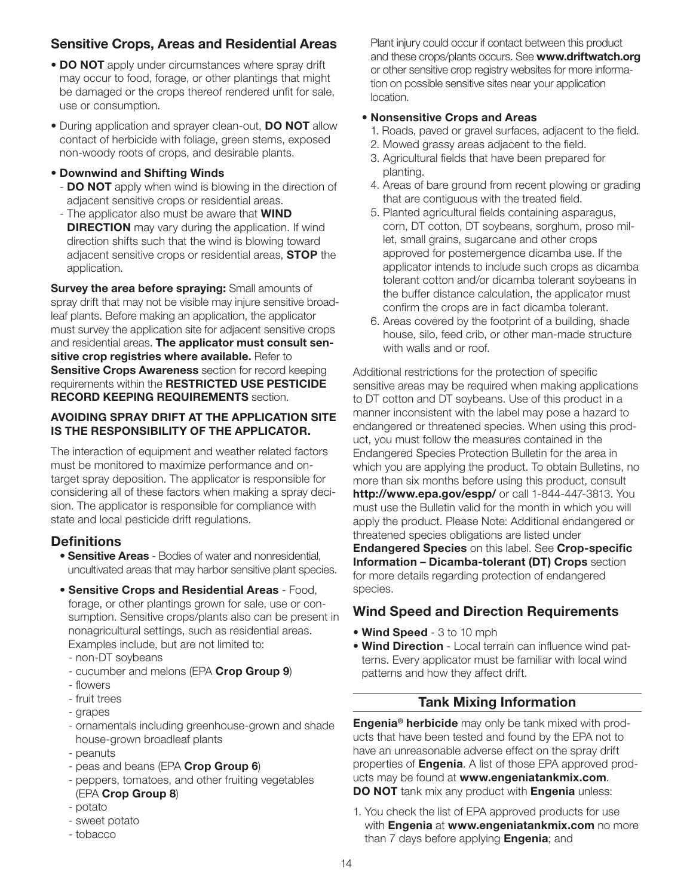## Sensitive Crops, Areas and Residential Areas

- DO NOT apply under circumstances where spray drift may occur to food, forage, or other plantings that might be damaged or the crops thereof rendered unfit for sale, use or consumption.
- During application and sprayer clean-out, DO NOT allow contact of herbicide with foliage, green stems, exposed non-woody roots of crops, and desirable plants.

#### • Downwind and Shifting Winds

- **DO NOT** apply when wind is blowing in the direction of adjacent sensitive crops or residential areas.
- The applicator also must be aware that **WIND DIRECTION** may vary during the application. If wind direction shifts such that the wind is blowing toward adjacent sensitive crops or residential areas, **STOP** the application.

**Survey the area before spraying: Small amounts of** spray drift that may not be visible may injure sensitive broadleaf plants. Before making an application, the applicator must survey the application site for adjacent sensitive crops and residential areas. The applicator must consult sensitive crop registries where available. Refer to **Sensitive Crops Awareness** section for record keeping requirements within the RESTRICTED USE PESTICIDE RECORD KEEPING REQUIREMENTS section.

#### AVOIDING SPRAY DRIFT AT THE APPLICATION SITE IS THE RESPONSIBILITY OF THE APPLICATOR.

The interaction of equipment and weather related factors must be monitored to maximize performance and ontarget spray deposition. The applicator is responsible for considering all of these factors when making a spray decision. The applicator is responsible for compliance with state and local pesticide drift regulations.

## **Definitions**

- **Sensitive Areas** Bodies of water and nonresidential, uncultivated areas that may harbor sensitive plant species.
- Sensitive Crops and Residential Areas Food, forage, or other plantings grown for sale, use or consumption. Sensitive crops/plants also can be present in nonagricultural settings, such as residential areas. Examples include, but are not limited to:
	- non-DT soybeans
- cucumber and melons (EPA Crop Group 9)
- flowers
- fruit trees
- grapes
- ornamentals including greenhouse-grown and shade house-grown broadleaf plants
- peanuts
- peas and beans (EPA Crop Group 6)
- peppers, tomatoes, and other fruiting vegetables (EPA Crop Group 8)
- potato
- sweet potato
- tobacco

Plant injury could occur if contact between this product and these crops/plants occurs. See www.driftwatch.org or other sensitive crop registry websites for more information on possible sensitive sites near your application location.

#### • Nonsensitive Crops and Areas

- 1. Roads, paved or gravel surfaces, adjacent to the field.
- 2. Mowed grassy areas adjacent to the field.
- 3. Agricultural fields that have been prepared for planting.
- 4. Areas of bare ground from recent plowing or grading that are contiguous with the treated field.
- 5. Planted agricultural fields containing asparagus, corn, DT cotton, DT soybeans, sorghum, proso millet, small grains, sugarcane and other crops approved for postemergence dicamba use. If the applicator intends to include such crops as dicamba tolerant cotton and/or dicamba tolerant soybeans in the buffer distance calculation, the applicator must confirm the crops are in fact dicamba tolerant.
- 6. Areas covered by the footprint of a building, shade house, silo, feed crib, or other man-made structure with walls and or roof.

Additional restrictions for the protection of specific sensitive areas may be required when making applications to DT cotton and DT soybeans. Use of this product in a manner inconsistent with the label may pose a hazard to endangered or threatened species. When using this product, you must follow the measures contained in the Endangered Species Protection Bulletin for the area in which you are applying the product. To obtain Bulletins, no more than six months before using this product, consult http://www.epa.gov/espp/ or call 1-844-447-3813. You must use the Bulletin valid for the month in which you will apply the product. Please Note: Additional endangered or threatened species obligations are listed under Endangered Species on this label. See Crop-specific Information – Dicamba-tolerant (DT) Crops section for more details regarding protection of endangered species.

## Wind Speed and Direction Requirements

- Wind Speed 3 to 10 mph
- Wind Direction Local terrain can influence wind patterns. Every applicator must be familiar with local wind patterns and how they affect drift.

## Tank Mixing Information

**Engenia<sup>®</sup> herbicide** may only be tank mixed with products that have been tested and found by the EPA not to have an unreasonable adverse effect on the spray drift properties of **Engenia**. A list of those EPA approved products may be found at www.engeniatankmix.com. DO NOT tank mix any product with Engenia unless:

1. You check the list of EPA approved products for use with **Engenia at www.engeniatankmix.com** no more than 7 days before applying **Engenia**; and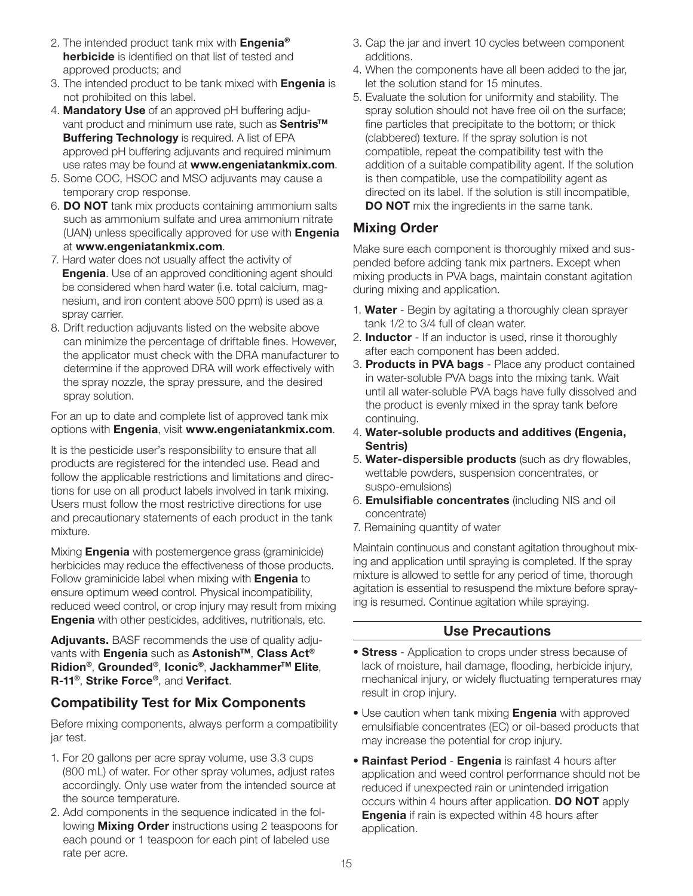- 2. The intended product tank mix with **Engenia<sup>®</sup>** herbicide is identified on that list of tested and approved products; and
- 3. The intended product to be tank mixed with **Engenia** is not prohibited on this label.
- 4. Mandatory Use of an approved pH buffering adjuvant product and minimum use rate, such as Sentris<sup>™</sup> **Buffering Technology** is required. A list of EPA approved pH buffering adjuvants and required minimum use rates may be found at www.engeniatankmix.com.
- 5. Some COC, HSOC and MSO adjuvants may cause a temporary crop response.
- 6. DO NOT tank mix products containing ammonium salts such as ammonium sulfate and urea ammonium nitrate (UAN) unless specifically approved for use with **Engenia** at www.engeniatankmix.com.
- 7. Hard water does not usually affect the activity of **Engenia**. Use of an approved conditioning agent should be considered when hard water (i.e. total calcium, magnesium, and iron content above 500 ppm) is used as a spray carrier.
- 8. Drift reduction adjuvants listed on the website above can minimize the percentage of driftable fines. However, the applicator must check with the DRA manufacturer to determine if the approved DRA will work effectively with the spray nozzle, the spray pressure, and the desired spray solution.

For an up to date and complete list of approved tank mix options with Engenia, visit www.engeniatankmix.com.

It is the pesticide user's responsibility to ensure that all products are registered for the intended use. Read and follow the applicable restrictions and limitations and directions for use on all product labels involved in tank mixing. Users must follow the most restrictive directions for use and precautionary statements of each product in the tank mixture.

Mixing **Engenia** with postemergence grass (graminicide) herbicides may reduce the effectiveness of those products. Follow graminicide label when mixing with **Engenia** to ensure optimum weed control. Physical incompatibility, reduced weed control, or crop injury may result from mixing **Engenia** with other pesticides, additives, nutritionals, etc.

Adjuvants. BASF recommends the use of quality adjuvants with Engenia such as Astonish™, Class Act<sup>®</sup> Ridion®, Grounded®, Iconic®, Jackhammer™ Elite, R-11<sup>®</sup>, Strike Force<sup>®</sup>, and Verifact.

## Compatibility Test for Mix Components

Before mixing components, always perform a compatibility jar test.

- 1. For 20 gallons per acre spray volume, use 3.3 cups (800 mL) of water. For other spray volumes, adjust rates accordingly. Only use water from the intended source at the source temperature.
- 2. Add components in the sequence indicated in the following **Mixing Order** instructions using 2 teaspoons for each pound or 1 teaspoon for each pint of labeled use rate per acre.
- 3. Cap the jar and invert 10 cycles between component additions.
- 4. When the components have all been added to the jar, let the solution stand for 15 minutes.
- 5. Evaluate the solution for uniformity and stability. The spray solution should not have free oil on the surface; fine particles that precipitate to the bottom; or thick (clabbered) texture. If the spray solution is not compatible, repeat the compatibility test with the addition of a suitable compatibility agent. If the solution is then compatible, use the compatibility agent as directed on its label. If the solution is still incompatible, **DO NOT** mix the ingredients in the same tank.

## Mixing Order

Make sure each component is thoroughly mixed and suspended before adding tank mix partners. Except when mixing products in PVA bags, maintain constant agitation during mixing and application.

- 1. Water Begin by agitating a thoroughly clean sprayer tank 1/2 to 3/4 full of clean water.
- 2. **Inductor** If an inductor is used, rinse it thoroughly after each component has been added.
- 3. Products in PVA bags Place any product contained in water-soluble PVA bags into the mixing tank. Wait until all water-soluble PVA bags have fully dissolved and the product is evenly mixed in the spray tank before continuing.
- 4. Water-soluble products and additives (Engenia, Sentris)
- 5. Water-dispersible products (such as dry flowables, wettable powders, suspension concentrates, or suspo-emulsions)
- 6. Emulsifiable concentrates (including NIS and oil concentrate)
- 7. Remaining quantity of water

Maintain continuous and constant agitation throughout mixing and application until spraying is completed. If the spray mixture is allowed to settle for any period of time, thorough agitation is essential to resuspend the mixture before spraying is resumed. Continue agitation while spraying.

## Use Precautions

- **Stress** Application to crops under stress because of lack of moisture, hail damage, flooding, herbicide injury, mechanical injury, or widely fluctuating temperatures may result in crop injury.
- Use caution when tank mixing **Engenia** with approved emulsifiable concentrates (EC) or oil-based products that may increase the potential for crop injury.
- Rainfast Period Engenia is rainfast 4 hours after application and weed control performance should not be reduced if unexpected rain or unintended irrigation occurs within 4 hours after application. DO NOT apply **Engenia** if rain is expected within 48 hours after application.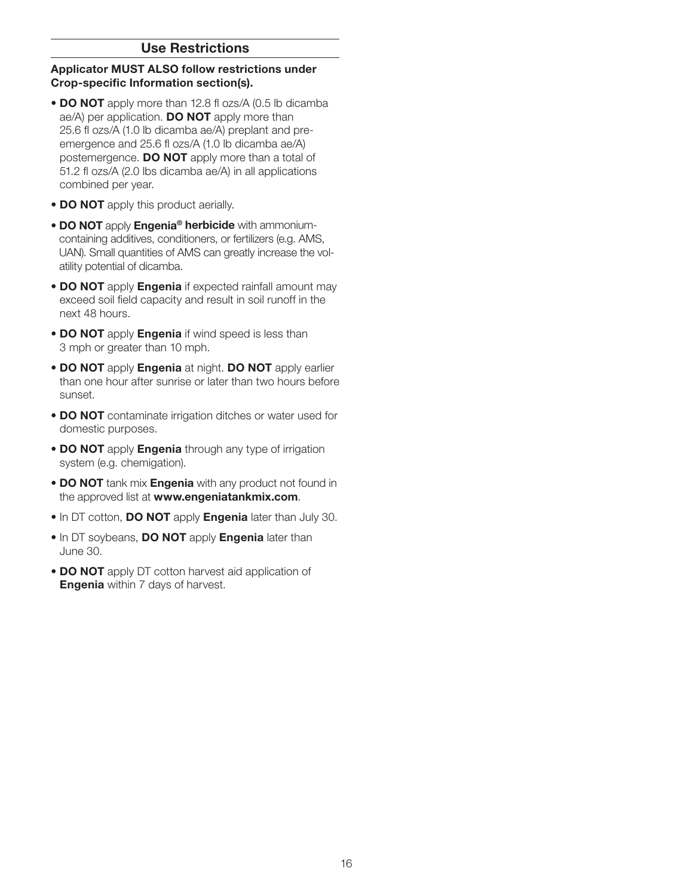#### Use Restrictions

#### Applicator MUST ALSO follow restrictions under Crop-specific Information section(s).

- DO NOT apply more than 12.8 fl ozs/A (0.5 lb dicamba ae/A) per application. **DO NOT** apply more than 25.6 fl ozs/A (1.0 lb dicamba ae/A) preplant and preemergence and 25.6 fl ozs/A (1.0 lb dicamba ae/A) postemergence. **DO NOT** apply more than a total of 51.2 fl ozs/A (2.0 lbs dicamba ae/A) in all applications combined per year.
- DO NOT apply this product aerially.
- DO NOT apply Engenia<sup>®</sup> herbicide with ammoniumcontaining additives, conditioners, or fertilizers (e.g. AMS, UAN). Small quantities of AMS can greatly increase the volatility potential of dicamba.
- DO NOT apply Engenia if expected rainfall amount may exceed soil field capacity and result in soil runoff in the next 48 hours.
- DO NOT apply Engenia if wind speed is less than 3 mph or greater than 10 mph.
- DO NOT apply Engenia at night. DO NOT apply earlier than one hour after sunrise or later than two hours before sunset.
- DO NOT contaminate irrigation ditches or water used for domestic purposes.
- DO NOT apply Engenia through any type of irrigation system (e.g. chemigation).
- DO NOT tank mix **Engenia** with any product not found in the approved list at www.engeniatankmix.com.
- In DT cotton, DO NOT apply Engenia later than July 30.
- In DT soybeans, DO NOT apply Engenia later than June 30.
- DO NOT apply DT cotton harvest aid application of **Engenia** within 7 days of harvest.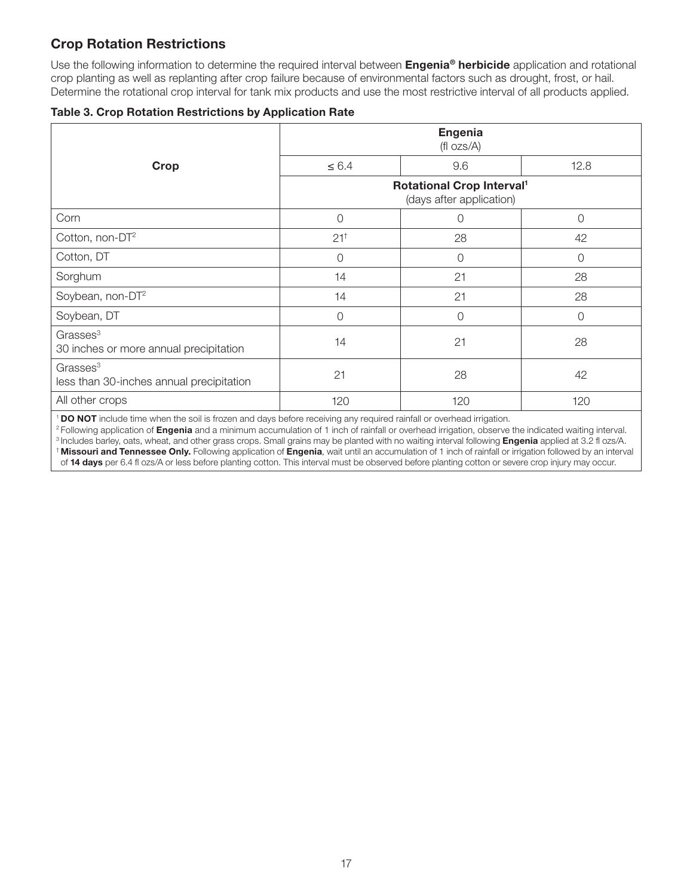## Crop Rotation Restrictions

Use the following information to determine the required interval between Engenia® herbicide application and rotational crop planting as well as replanting after crop failure because of environmental factors such as drought, frost, or hail. Determine the rotational crop interval for tank mix products and use the most restrictive interval of all products applied.

|  | <b>Table 3. Crop Rotation Restrictions by Application Rate</b> |  |  |
|--|----------------------------------------------------------------|--|--|
|  |                                                                |  |  |

|                                                                  | <b>Engenia</b><br>$(fI \, ozs/A)$                                 |          |          |
|------------------------------------------------------------------|-------------------------------------------------------------------|----------|----------|
| Crop                                                             | $\leq 6.4$                                                        | 9.6      | 12.8     |
|                                                                  | Rotational Crop Interval <sup>1</sup><br>(days after application) |          |          |
| Corn                                                             | $\overline{0}$                                                    | $\Omega$ | 0        |
| Cotton, non-DT <sup>2</sup>                                      | $21^{+}$                                                          | 28       | 42       |
| Cotton, DT                                                       | $\overline{0}$                                                    | $\Omega$ | $\Omega$ |
| Sorghum                                                          | 14                                                                | 21       | 28       |
| Soybean, non-DT <sup>2</sup>                                     | 14                                                                | 21       | 28       |
| Soybean, DT                                                      | $\overline{0}$                                                    | $\Omega$ | O        |
| Grasses <sup>3</sup><br>30 inches or more annual precipitation   | 14                                                                | 21       | 28       |
| Grasses <sup>3</sup><br>less than 30-inches annual precipitation | 21                                                                | 28       | 42       |
| All other crops                                                  | 120                                                               | 120      | 120      |

<sup>1</sup> DO NOT include time when the soil is frozen and days before receiving any required rainfall or overhead irrigation.

<sup>2</sup> Following application of Engenia and a minimum accumulation of 1 inch of rainfall or overhead irrigation, observe the indicated waiting interval. <sup>3</sup> Includes barley, oats, wheat, and other grass crops. Small grains may be planted with no waiting interval following **Engenia** applied at 3.2 fl ozs/A. † Missouri and Tennessee Only. Following application of Engenia, wait until an accumulation of 1 inch of rainfall or irrigation followed by an interval of 14 days per 6.4 fl ozs/A or less before planting cotton. This interval must be observed before planting cotton or severe crop injury may occur.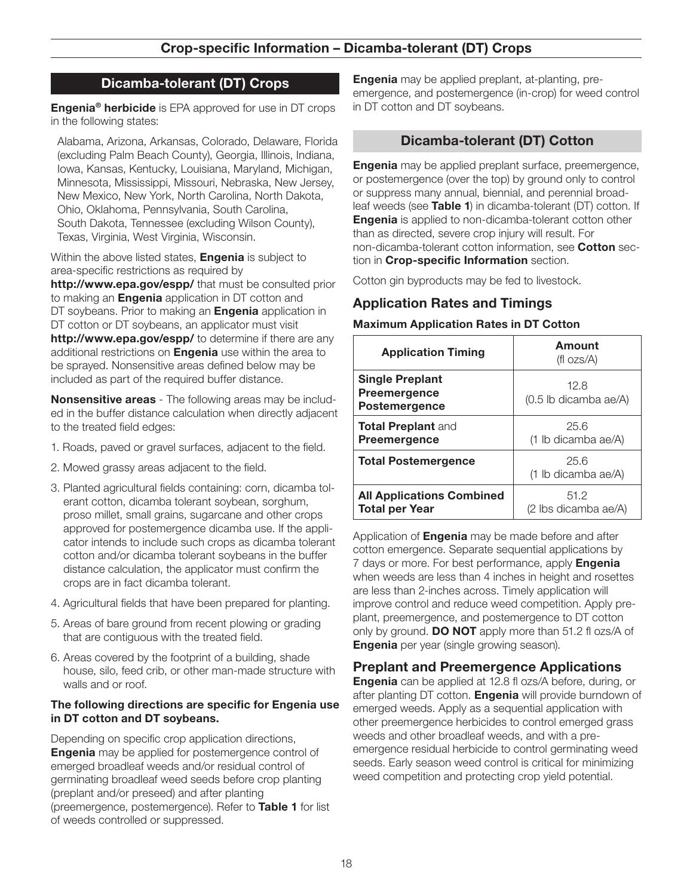## Crop-specific Information – Dicamba-tolerant (DT) Crops

#### Dicamba-tolerant (DT) Crops

**Engenia<sup>®</sup> herbicide** is EPA approved for use in DT crops in the following states:

Alabama, Arizona, Arkansas, Colorado, Delaware, Florida (excluding Palm Beach County), Georgia, Illinois, Indiana, Iowa, Kansas, Kentucky, Louisiana, Maryland, Michigan, Minnesota, Mississippi, Missouri, Nebraska, New Jersey, New Mexico, New York, North Carolina, North Dakota, Ohio, Oklahoma, Pennsylvania, South Carolina, South Dakota, Tennessee (excluding Wilson County), Texas, Virginia, West Virginia, Wisconsin.

Within the above listed states, **Engenia** is subject to area-specific restrictions as required by

http://www.epa.gov/espp/ that must be consulted prior to making an **Engenia** application in DT cotton and DT soybeans. Prior to making an **Engenia** application in DT cotton or DT soybeans, an applicator must visit http://www.epa.gov/espp/ to determine if there are any additional restrictions on **Engenia** use within the area to be sprayed. Nonsensitive areas defined below may be included as part of the required buffer distance.

**Nonsensitive areas** - The following areas may be included in the buffer distance calculation when directly adjacent to the treated field edges:

- 1. Roads, paved or gravel surfaces, adjacent to the field.
- 2. Mowed grassy areas adjacent to the field.
- 3. Planted agricultural fields containing: corn, dicamba tolerant cotton, dicamba tolerant soybean, sorghum, proso millet, small grains, sugarcane and other crops approved for postemergence dicamba use. If the applicator intends to include such crops as dicamba tolerant cotton and/or dicamba tolerant soybeans in the buffer distance calculation, the applicator must confirm the crops are in fact dicamba tolerant.
- 4. Agricultural fields that have been prepared for planting.
- 5. Areas of bare ground from recent plowing or grading that are contiguous with the treated field.
- 6. Areas covered by the footprint of a building, shade house, silo, feed crib, or other man-made structure with walls and or roof.

#### The following directions are specific for Engenia use in DT cotton and DT soybeans.

Depending on specific crop application directions, **Engenia** may be applied for postemergence control of emerged broadleaf weeds and/or residual control of germinating broadleaf weed seeds before crop planting (preplant and/or preseed) and after planting (preemergence, postemergence). Refer to Table 1 for list of weeds controlled or suppressed.

**Engenia** may be applied preplant, at-planting, preemergence, and postemergence (in-crop) for weed control in DT cotton and DT soybeans.

## Dicamba-tolerant (DT) Cotton

**Engenia** may be applied preplant surface, preemergence, or postemergence (over the top) by ground only to control or suppress many annual, biennial, and perennial broadleaf weeds (see Table 1) in dicamba-tolerant (DT) cotton. If **Engenia** is applied to non-dicamba-tolerant cotton other than as directed, severe crop injury will result. For non-dicamba-tolerant cotton information, see Cotton section in Crop-specific Information section.

Cotton gin byproducts may be fed to livestock.

# Application Rates and Timings

#### Maximum Application Rates in DT Cotton

| <b>Application Timing</b>                                             | <b>Amount</b><br>(fl $OZS/A$ ) |
|-----------------------------------------------------------------------|--------------------------------|
| <b>Single Preplant</b><br><b>Preemergence</b><br><b>Postemergence</b> | 12.8<br>(0.5 lb dicamba ae/A)  |
| <b>Total Preplant and</b><br><b>Preemergence</b>                      | 25.6<br>(1 lb dicamba ae/A)    |
| <b>Total Postemergence</b>                                            | 25.6<br>(1 lb dicamba ae/A)    |
| <b>All Applications Combined</b><br><b>Total per Year</b>             | 51.2<br>(2 lbs dicamba ae/A)   |

Application of **Engenia** may be made before and after cotton emergence. Separate sequential applications by 7 days or more. For best performance, apply **Engenia** when weeds are less than 4 inches in height and rosettes are less than 2-inches across. Timely application will improve control and reduce weed competition. Apply preplant, preemergence, and postemergence to DT cotton only by ground. **DO NOT** apply more than 51.2 fl ozs/A of **Engenia** per year (single growing season).

## Preplant and Preemergence Applications

**Engenia** can be applied at 12.8 fl ozs/A before, during, or after planting DT cotton. Engenia will provide burndown of emerged weeds. Apply as a sequential application with other preemergence herbicides to control emerged grass weeds and other broadleaf weeds, and with a preemergence residual herbicide to control germinating weed seeds. Early season weed control is critical for minimizing weed competition and protecting crop yield potential.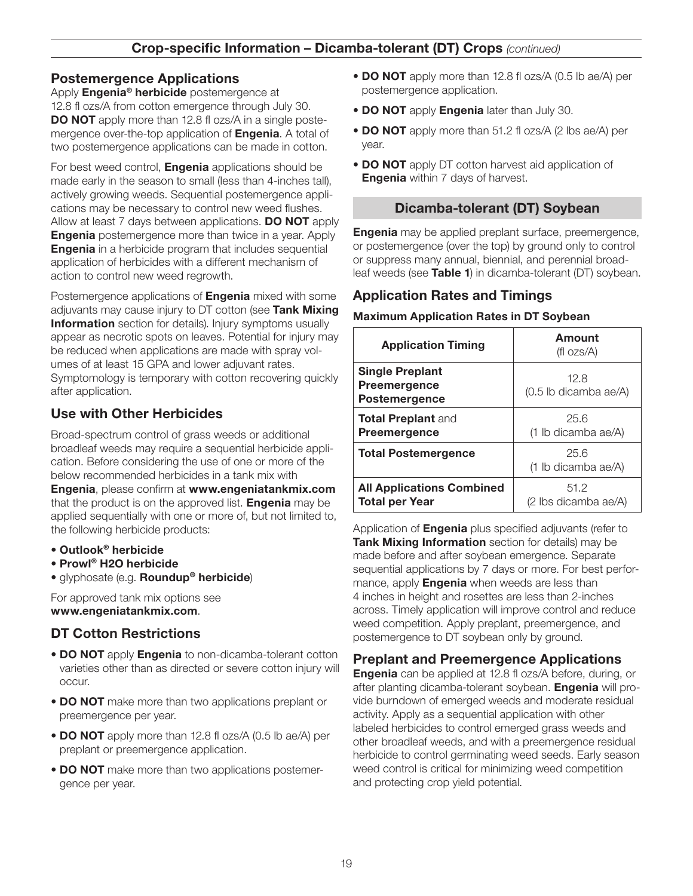## Postemergence Applications

Apply **Engenia<sup>®</sup> herbicide** postemergence at 12.8 fl ozs/A from cotton emergence through July 30. **DO NOT** apply more than 12.8 fl ozs/A in a single postemergence over-the-top application of **Engenia**. A total of two postemergence applications can be made in cotton.

For best weed control, **Engenia** applications should be made early in the season to small (less than 4-inches tall), actively growing weeds. Sequential postemergence applications may be necessary to control new weed flushes. Allow at least 7 days between applications. DO NOT apply **Engenia** postemergence more than twice in a year. Apply **Engenia** in a herbicide program that includes sequential application of herbicides with a different mechanism of action to control new weed regrowth.

Postemergence applications of **Engenia** mixed with some adjuvants may cause injury to DT cotton (see Tank Mixing **Information** section for details). Injury symptoms usually appear as necrotic spots on leaves. Potential for injury may be reduced when applications are made with spray volumes of at least 15 GPA and lower adjuvant rates. Symptomology is temporary with cotton recovering quickly after application.

# Use with Other Herbicides

Broad-spectrum control of grass weeds or additional broadleaf weeds may require a sequential herbicide application. Before considering the use of one or more of the below recommended herbicides in a tank mix with Engenia, please confirm at www.engeniatankmix.com that the product is on the approved list. **Engenia** may be applied sequentially with one or more of, but not limited to, the following herbicide products:

- Outlook® herbicide
- Prowl® H2O herbicide
- glyphosate (e.g. Roundup<sup>®</sup> herbicide)

For approved tank mix options see www.engeniatankmix.com.

## DT Cotton Restrictions

- DO NOT apply Engenia to non-dicamba-tolerant cotton varieties other than as directed or severe cotton injury will occur.
- DO NOT make more than two applications preplant or preemergence per year.
- **DO NOT** apply more than 12.8 fl ozs/A (0.5 lb ae/A) per preplant or preemergence application.
- DO NOT make more than two applications postemergence per year.
- **DO NOT** apply more than 12.8 fl ozs/A (0.5 lb ae/A) per postemergence application.
- DO NOT apply Engenia later than July 30.
- DO NOT apply more than 51.2 fl ozs/A (2 lbs ae/A) per year.
- DO NOT apply DT cotton harvest aid application of **Engenia** within 7 days of harvest.

## Dicamba-tolerant (DT) Soybean

**Engenia** may be applied preplant surface, preemergence, or postemergence (over the top) by ground only to control or suppress many annual, biennial, and perennial broadleaf weeds (see Table 1) in dicamba-tolerant (DT) soybean.

## Application Rates and Timings

#### Maximum Application Rates in DT Soybean

| <b>Application Timing</b>                                             | Amount<br>(fl $OZS/A$ )         |
|-----------------------------------------------------------------------|---------------------------------|
| <b>Single Preplant</b><br><b>Preemergence</b><br><b>Postemergence</b> | 12.8<br>$(0.5$ lb dicamba ae/A) |
| <b>Total Preplant and</b><br><b>Preemergence</b>                      | 25.6<br>(1 lb dicamba ae/A)     |
| <b>Total Postemergence</b>                                            | 25.6<br>(1 lb dicamba ae/A)     |
| <b>All Applications Combined</b><br><b>Total per Year</b>             | 51.2<br>(2 lbs dicamba ae/A)    |

Application of **Engenia** plus specified adjuvants (refer to Tank Mixing Information section for details) may be made before and after soybean emergence. Separate sequential applications by 7 days or more. For best performance, apply **Engenia** when weeds are less than 4 inches in height and rosettes are less than 2-inches across. Timely application will improve control and reduce weed competition. Apply preplant, preemergence, and postemergence to DT soybean only by ground.

## Preplant and Preemergence Applications

Engenia can be applied at 12.8 fl ozs/A before, during, or after planting dicamba-tolerant soybean. Engenia will provide burndown of emerged weeds and moderate residual activity. Apply as a sequential application with other labeled herbicides to control emerged grass weeds and other broadleaf weeds, and with a preemergence residual herbicide to control germinating weed seeds. Early season weed control is critical for minimizing weed competition and protecting crop yield potential.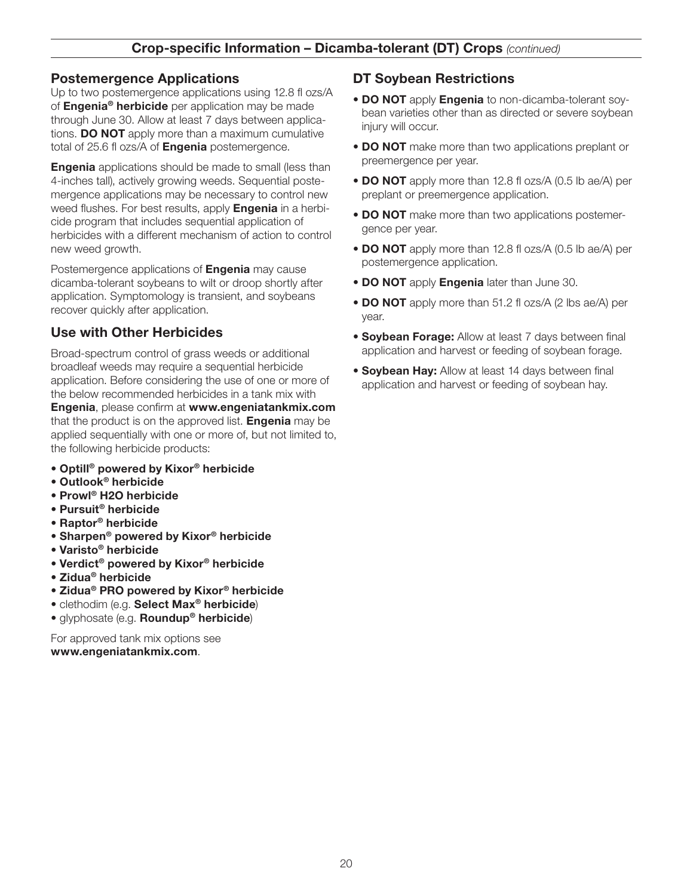## Postemergence Applications

Up to two postemergence applications using 12.8 fl ozs/A of Engenia<sup>®</sup> herbicide per application may be made through June 30. Allow at least 7 days between applications. **DO NOT** apply more than a maximum cumulative total of 25.6 fl ozs/A of **Engenia** postemergence.

**Engenia** applications should be made to small (less than 4-inches tall), actively growing weeds. Sequential postemergence applications may be necessary to control new weed flushes. For best results, apply **Engenia** in a herbicide program that includes sequential application of herbicides with a different mechanism of action to control new weed growth.

Postemergence applications of **Engenia** may cause dicamba-tolerant soybeans to wilt or droop shortly after application. Symptomology is transient, and soybeans recover quickly after application.

## Use with Other Herbicides

Broad-spectrum control of grass weeds or additional broadleaf weeds may require a sequential herbicide application. Before considering the use of one or more of the below recommended herbicides in a tank mix with Engenia, please confirm at www.engeniatankmix.com that the product is on the approved list. **Engenia** may be applied sequentially with one or more of, but not limited to, the following herbicide products:

- Optill® powered by Kixor® herbicide
- Outlook® herbicide
- Prowl® H2O herbicide
- Pursuit® herbicide
- Raptor® herbicide
- Sharpen® powered by Kixor® herbicide
- Varisto® herbicide
- Verdict® powered by Kixor® herbicide
- Zidua® herbicide
- Zidua® PRO powered by Kixor® herbicide
- clethodim (e.g. Select Max® herbicide)
- glyphosate (e.g. Roundup<sup>®</sup> herbicide)

For approved tank mix options see www.engeniatankmix.com.

## DT Soybean Restrictions

- DO NOT apply Engenia to non-dicamba-tolerant soybean varieties other than as directed or severe soybean injury will occur.
- DO NOT make more than two applications preplant or preemergence per year.
- DO NOT apply more than 12.8 fl ozs/A (0.5 lb ae/A) per preplant or preemergence application.
- DO NOT make more than two applications postemergence per year.
- DO NOT apply more than 12.8 fl ozs/A (0.5 lb ae/A) per postemergence application.
- DO NOT apply Engenia later than June 30.
- **DO NOT** apply more than 51.2 fl ozs/A (2 lbs ae/A) per year.
- Soybean Forage: Allow at least 7 days between final application and harvest or feeding of soybean forage.
- **Soybean Hay:** Allow at least 14 days between final application and harvest or feeding of soybean hay.